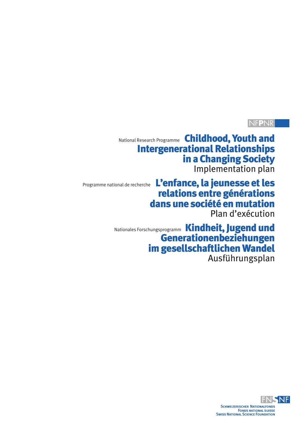# NF**P**NR

National Research Programme Childhood, Youth and Intergenerational Relationships in a Changing Society Implementation plan

Programme national de recherche L'enfance, la jeunesse et les relations entre générations dans une société en mutation

Plan d'exécution

Nationales Forschungsprogramm Kindheit, Jugend und Generationenbeziehungen im gesellschaftlichen Wandel Ausführungsplan

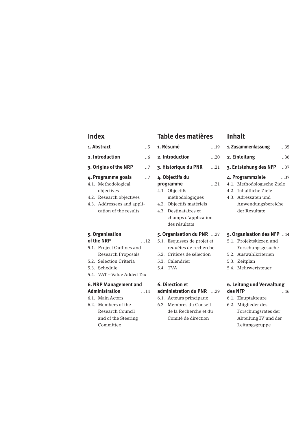# **Index**

#### **1. Abstract** …5

- **2. Introduction** …6
- **3. Origins of the NRP** …7
- **4. Programme goals** …7
- 4.1. Methodological objectives
- 4.2. Research objectives
- 4.3. Addressees and application of the results

# **5. Organisation of the NRP** …12

- 5.1. Project Outlines and Research Proposals
- 5.2. Selection Criteria
- 5.3. Schedule
- 5.4. VAT Value Added Tax

# **6. NRP Management and Administration** …14

- 6.1. Main Actors
- 6.2. Members of the Research Council and of the Steering Committee

# **Table des matières**

- **1. Résumé** …19
- **2. Introduction** …20
- **3. Historique du PNR** …21

# **4. Objectifs du**

- **programme** …21
- 4.1. Objectifs
- 4.2. Objectifs matériels
- 4.3. Destinataires et champs d'application
- des résultats

# **5. Organisation du PNR** …27

- 5.1. Esquisses de projet et requêtes de recherche
- 5.2. Critères de sélection
- 5.3. Calendrier
- 5.4. TVA

# **6. Direction et**

# **administration du PNR** …29

- 6.1. Acteurs principaux
- 6.2. Membres du Conseil de la Recherche et du Comité de direction

# **Inhalt 1. Zusammenfassung** …35

**2. Einleitung** …36 **3. Entstehung des NFP** …37 **4. Programmziele** …37 4.1. Methodologische Ziele 4.2. Inhaltliche Ziele 4.3. Adressaten und Anwendungsbereiche der Resultate

# **5. Organisation des NFP** …44

- 5.1. Projektskizzen und Forschungsgesuche
- 5.2. Auswahlkriterien
- 5.3. Zeitplan
- 5.4. Mehrwertsteuer

# **6. Leitung und Verwaltung des NFP** …46

- 6.1. Hauptakteure
- 6.2. Mitglieder des Forschungsrates der Abteilung IV und der Leitungsgruppe

# méthodologiques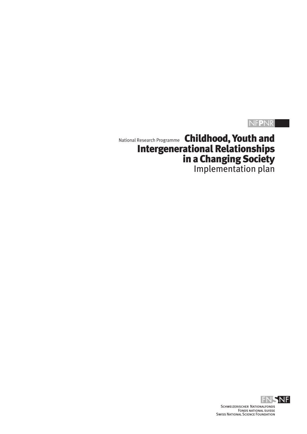# NF**P**NR

National Research Programme Childhood, Youth and Intergenerational Relationships in a Changing Society Implementation plan

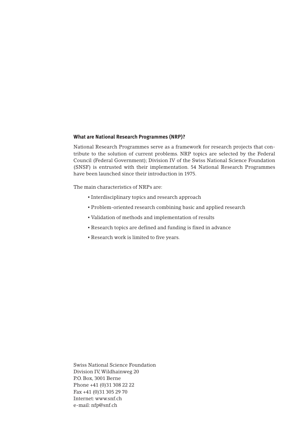### **What are National Research Programmes (NRP)?**

National Research Programmes serve as a framework for research projects that contribute to the solution of current problems. NRP topics are selected by the Federal Council (Federal Government); Division IV of the Swiss National Science Foundation (SNSF) is entrusted with their implementation. 54 National Research Programmes have been launched since their introduction in 1975.

The main characteristics of NRPs are:

- Interdisciplinary topics and research approach
- Problem-oriented research combining basic and applied research
- Validation of methods and implementation of results
- Research topics are defined and funding is fixed in advance
- Research work is limited to five years.

Swiss National Science Foundation Division IV,Wildhainweg 20 P.O. Box, 3001 Berne Phone +41 (0)31 308 22 22 Fax +41 (0)31 305 29 70 Internet: www.snf.ch e-mail: nfp@snf.ch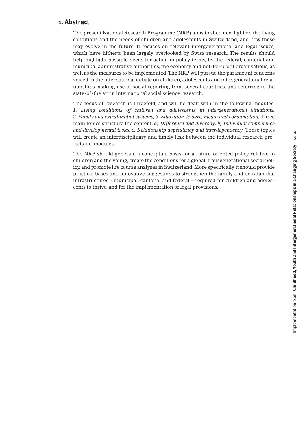# **1. Abstract**

The present National Research Programme (NRP) aims to shed new light on the living conditions and the needs of children and adolescents in Switzerland, and how these may evolve in the future. It focuses on relevant intergenerational and legal issues, which have hitherto been largely overlooked by Swiss research. The results should help highlight possible needs for action in policy terms, by the federal, cantonal and municipal administrative authorities, the economy and not-for-profit organisations, as well as the measures to be implemented.The NRP will pursue the paramount concerns voiced in the international debate on children, adolescents and intergenerational relationships, making use of social reporting from several countries, and referring to the state-of-the art in international social science research.

The focus of research is threefold, and will be dealt with in the following modules: *1. Living conditions of children and adolescents in intergenerational situations. 2. Family and extrafamilial systems, 3. Education, leisure, media and consumption.* Three main topics structure the content: *a) Difference and diversity, b) Individual competence and developmental tasks, c) Relationship dependency and interdependency.* These topics will create an interdisciplinary and timely link between the individual research projects, i.e. modules.

The NRP should generate a conceptual basis for a future-oriented policy relative to children and the young, create the conditions for a global, transgenerational social policy, and promote life course analyses in Switzerland. More specifically, it should provide practical bases and innovative suggestions to strengthen the family and extrafamilial infrastructures – municipal, cantonal and federal – required for children and adolescents to thrive, and for the implementation of legal provisions.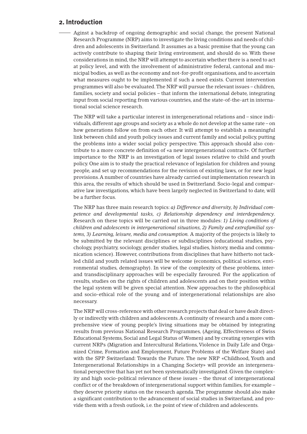# **2. Introduction**

Aginst a backdrop of ongoing demographic and social change, the present National Research Programme (NRP) aims to investigate the living conditions and needs of children and adolescents in Switzerland. It assumes as a basic premise that the young can actively contribute to shaping their living environment, and should do so. With these considerations in mind, the NRP will attempt to ascertain whether there is a need to act at policy level, and with the involvement of administrative federal, cantonal and municipal bodies, as well as the economy and not-for-profit organisations, and to ascertain what measures ought to be implemented if such a need exists. Current intervention programmes will also be evaluated.The NRP will pursue the relevant issues – children, families, society and social policies – that inform the international debate, integrating input from social reporting from various countries, and the state-of-the-art in international social science research.

The NRP will take a particular interest in intergenerational relations and – since individuals, different age groups and society as a whole do not develop at the same rate – on how generations follow on from each other. It will attempt to establish a meaningful link between child and youth policy issues and current family and social policy, putting the problems into a wider social policy perspective. This approach should also contribute to a more concrete definition of «a new intergenerational contract». Of further importance to the NRP is an investigation of legal issues relative to child and youth policy. One aim is to study the practical relevance of legislation for children and young people, and set up recommendations for the revision of existing laws, or for new legal provisions.A number of countries have already carried out implementation research in this area, the results of which should be used in Switzerland. Socio-legal and comparative law investigations, which have been largely neglected in Switzerland to date, will be a further focus.

The NRP has three main research topics: *a) Difference and diversity, b) Individual competence and developmental tasks, c) Relationship dependency and interdependency.* Research on these topics will be carried out in three modules: *1) Living conditions of children and adolescents in intergenerational situations, 2) Family and extrafamilial systems, 3) Learning, leisure, media and consumption.* A majority of the projects is likely to be submitted by the relevant disciplines or subdisciplines (educational studies, psychology, psychiatry, sociology, gender studies, legal studies, history, media and communication science). However, contributions from disciplines that have hitherto not tackled child and youth related issues will be welcome (economics, political science, environmental studies, demography). In view of the complexity of these problems, interand transdisciplinary approaches will be especially favoured. For the application of results, studies on the rights of children and adolescents and on their position within the legal system will be given special attention. New approaches to the philosophical and socio-ethical role of the young and of intergenerational relationships are also necessary.

The NRP will cross-reference with other research projects that deal or have dealt directly or indirectly with children and adolescents.A continuity of research and a more comprehensive view of young people's living situations may be obtained by integrating results from previous National Research Programmes, (Ageing, Effectiveness of Swiss Educational Systems, Social and Legal Status of Women) and by creating synergies with current NRPs (Migration and Intercultural Relations, Violence in Daily Life and Organized Crime, Formation and Employment, Future Problems of the Welfare State) and with the SPP Switzerland: Towards the Future. The new NRP «Childhood, Youth and Intergenerational Relationships in a Changing Society» will provide an intergenerational perspective that has yet not been systematically investigated. Given the complexity and high socio-political relevance of these issues – the threat of intergenerational conflict or of the breakdown of intergenerational support within families, for example – they deserve priority status on the research agenda. The programme should also make a significant contribution to the advancement of social studies in Switzerland, and provide them with a fresh outlook, i.e. the point of view of children and adolescents.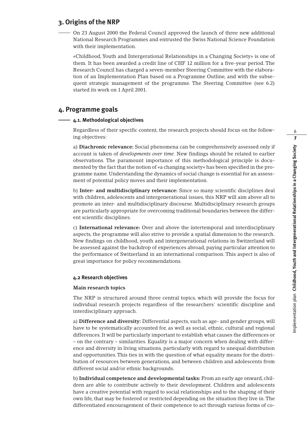# **3. Origins of the NRP**

On 23 August 2000 the Federal Council approved the launch of three new additional National Research Programmes and entrusted the Swiss National Science Foundation with their implementation.

«Childhood, Youth and Intergerational Relationships in a Changing Society» is one of them. It has been awarded a credit line of CHF 12 million for a five-year period. The Research Council has charged a seven-member Steering Committee with the elaboration of an Implementation Plan based on a Programme Outline, and with the subsequent strategic management of the programme. The Steering Committee (see 6.2) started its work on 1 April 2001.

# **4. Programme goals**

### **4.1. Methodological objectives**

Regardless of their specific content, the research projects should focus on the following objectives:

a) **Diachronic relevance:** Social phenomena can be comprehensively assessed only if account is taken of *developments over time*. New findings should be related to earlier observations. The paramount importance of this methodological principle is documented by the fact that the notion of «a changing society» has been specified in the programme name. Understanding the dynamics of social change is essential for an assessment of potential policy moves and their implementation.

b) **Inter- and multidisciplinary relevance:** Since so many scientific disciplines deal with children, adolescents and intergenerational issues, this NRP will aim above all to promote an inter- and multidisciplinary discourse. Multidisciplinary research groups are particularly appropriate for overcoming traditional boundaries between the different scientific disciplines.

c) **International relevance:** Over and above the intertemporal and interdisciplinary aspects, the programme will also strive to provide a spatial dimension to the research. New findings on childhood, youth and intergenerational relations in Switzerland will be assessed against the backdrop of experiences abroad, paying particular attention to the performance of Switzerland in an international comparison. This aspect is also of great importance for policy recommendations.

# **4.2 Research objectives**

#### **Main research topics**

The NRP is structured around three central topics, which will provide the focus for individual research projects regardless of the researchers' scientific discipline and interdisciplinary approach.

a) **Difference and diversity:** Differential aspects, such as age- and gender groups, will have to be systematically accounted for, as well as social, ethnic, cultural and regional differences. It will be particularly important to establish what causes the differences or – on the contrary – similarities. Equality is a major concern when dealing with difference and diversity in living situations, particularly with regard to unequal distribution and opportunities. This ties in with the question of what equality means for the distribution of resources between generations, and between children and adolescents from different social and/or ethnic backgrounds.

b) **Individual competence and developmental tasks:** From an early age onward, children are able to contribute actively to their development. Children and adolescents have a creative potential with regard to social relationships and to the shaping of their own life, that may be fostered or restricted depending on the situation they live in.The differentiated encouragement of their competence to act through various forms of co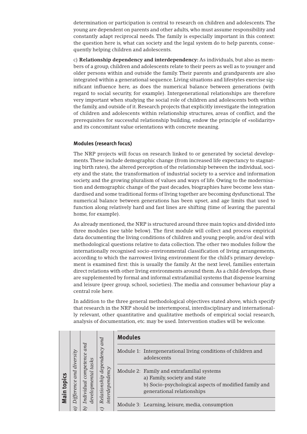determination or participation is central to research on children and adolescents. The young are dependent on parents and other adults, who must assume responsibility and constantly adapt reciprocal needs. The family is especially important in this context: the question here is, what can society and the legal system do to help parents, consequently helping children and adolescents.

c) **Relationship dependency and interdependency:** As individuals, but also as members of a group, children and adolescents relate to their peers as well as to younger and older persons within and outside the family. Their parents and grandparents are also integrated within a generational sequence. Living situations and lifestyles exercise significant influence here, as does the numerical balance between generations (with regard to social security, for example). Intergenerational relationships are therefore very important when studying the social role of children and adolescents both within the family, and outside of it. Research projects that explicitly investigate the integration of children and adolescents within relationship structures, areas of conflict, and the prerequisites for successful relationship building, endow the principle of «solidarity» and its concomitant value orientations with concrete meaning.

# **Modules (research focus)**

The NRP projects will focus on research linked to or generated by societal developments.These include demographic change (from increased life expectancy to stagnating birth rates), the altered perception of the relationship between the individual, society and the state, the transformation of industrial society to a service and information society, and the growing pluralism of values and ways of life. Owing to the modernisation and demographic change of the past decades, biographies have become less standardised and some traditional forms of living together are becoming dysfunctional.The numerical balance between generations has been upset, and age limits that used to function along relatively hard and fast lines are shifting (time of leaving the parental home, for example).

As already mentioned, the NRP is structured around three main topics and divided into three modules (see table below). The first module will collect and process empirical data documenting the living conditions of children and young people, and/or deal with methodological questions relative to data collection.The other two modules follow the internationally recognised socio-environmental classification of living arrangements, according to which the narrowest living environment for the child's primary development is examined first: this is usually the family. At the next level, families entertain direct relations with other living environments around them.As a child develops, these are supplemented by formal and informal extrafamilial systems that dispense learning and leisure (peer group, school, societies). The media and consumer behaviour play a central role here.

In addition to the three general methodological objectives stated above, which specify that research in the NRP should be intertemporal, interdisciplinary and internationally relevant, other quantitative and qualitative methods of empirical social research, analysis of documentation, etc. may be used. Intervention studies will be welcome.

| topics<br>Main | diversity<br>and<br>ifference | and<br>ce<br>component<br>tasks<br>developmental<br>Individual | and<br>dependency<br>interdependent<br>Relationship<br>$\widehat{\phantom{a}}$ | <b>Modules</b>                                                                                                                                                    |
|----------------|-------------------------------|----------------------------------------------------------------|--------------------------------------------------------------------------------|-------------------------------------------------------------------------------------------------------------------------------------------------------------------|
|                |                               |                                                                |                                                                                | Module 1: Intergenerational living conditions of children and<br>adolescents                                                                                      |
|                |                               |                                                                |                                                                                | Module 2: Family and extrafamilial systems<br>a) Family, society and state<br>b) Socio-psychological aspects of modified family and<br>generational relationships |
|                |                               |                                                                |                                                                                | Module 3: Learning, leisure, media, consumption                                                                                                                   |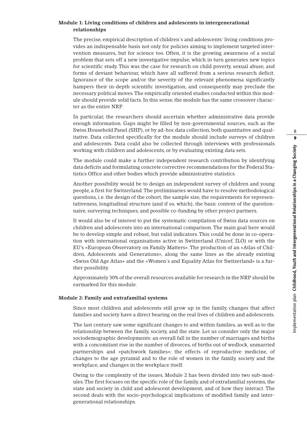#### **Module 1: Living conditions of children and adolescents in intergenerational relationships**

The precise, empirical description of children's and adolescents' living conditions provides an indispensable basis not only for policies aiming to implement targeted intervention measures, but for science too. Often, it is the growing awareness of a social problem that sets off a new investigative impulse, which in turn generates new topics for scientific study. This was the case for research on child poverty, sexual abuse, and forms of deviant behaviour, which have all suffered from a serious research deficit. Ignorance of the scope and/or the severity of the relevant phenomena significantly hampers their in-depth scientific investigation, and consequently may preclude the necessary political moves.The empirically oriented studies conducted within this module should provide solid facts. In this sense, the module has the same crossover character as the entire NRP.

In particular, the researchers should ascertain whether administrative data provide enough information. Gaps might be filled by non-governmental sources, such as the Swiss Household Panel (SHP), or by ad-hoc data collection, both quantitative and qualitative. Data collected specifically for the module should include surveys of children and adolescents. Data could also be collected through interviews with professionals working with children and adolescents, or by evaluating existing data sets.

The module could make a further independent research contribution by identifying data deficits and formulating concrete corrective recommendations for the Federal Statistics Office and other bodies which provide administrative statistics.

Another possibility would be to design an independent survey of children and young people, a first for Switzerland.The preliminaries would have to resolve methodological questions, i.e. the design of the cohort, the sample size, the requirements for representativeness, longitudinal structure (and if so, which), the basic content of the questionnaire, surveying techniques, and possible co-funding by other project partners.

It would also be of interest to put the systematic compilation of Swiss data sources on children and adolescents into an international comparison. The main goal here would be to develop simple and robust, but valid indicators. This could be done in co-operation with international organisations active in Switzerland (Unicef, ILO) or with the EU's «European Observatory on Family Matters». The production of an «Atlas of Children, Adolescents and Generations», along the same lines as the already existing «Swiss Old Age Atlas» and the «Women's and Equality Atlas for Switzerland» is a further possibility.

Approximately 30% of the overall resources available for research in the NRP should be earmarked for this module.

# **Module 2: Family and extrafamilial systems**

Since most children and adolescents still grow up in the family, changes that affect families and society have a direct bearing on the real lives of children and adolescents.

The last century saw some significant changes to and within families, as well as to the relationship between the family, society, and the state. Let us consider only the major sociodemographic developments: an overall fall in the number of marriages and births with a concomitant rise in the number of divorces, of births out of wedlock, unmarried partnerships and «patchwork families»; the effects of reproductive medicine, of changes to the age pyramid and to the role of women in the family, society and the workplace, and changes in the workplace itself.

Owing to the complexity of the issues, Module 2 has been divided into two sub-modules.The first focuses on the specific role of the family, and of extrafamilial systems, the state and society in child and adolescent development, and of how they interact. The second deals with the socio-psychological implications of modified family and intergenerational relationships.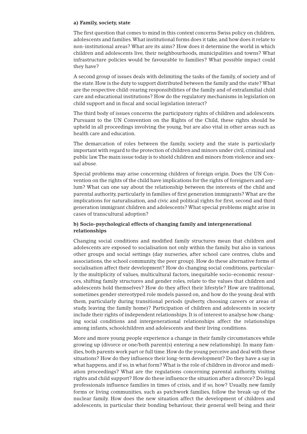#### **a) Family, society, state**

The first question that comes to mind in this context concerns Swiss policy on children, adolescents and families.What institutional forms does it take, and how does it relate to non-institutional areas? What are its aims? How does it determine the world in which children and adolescents live, their neighbourhoods, municipalities and towns? What infrastructure policies would be favourable to families? What possible impact could they have?

A second group of issues deals with delimiting the tasks of the family, of society and of the state. How is the duty to support distributed between the family and the state? What are the respective child-rearing responsibilities of the family and of extrafamilial child care and educational institutions? How do the regulatory mechanisms in legislation on child support and in fiscal and social legislation interact?

The third body of issues concerns the participatory rights of children and adolescents. Pursuant to the UN Convention on the Rights of the Child, these rights should be upheld in all proceedings involving the young, but are also vital in other areas such as health care and education.

The demarcation of roles between the family, society and the state is particularly important with regard to the protection of children and minors under civil, criminal and public law.The main issue today is to shield children and minors from violence and sexual abuse.

Special problems may arise concerning children of foreign origin. Does the UN Convention on the rights of the child have implications for the rights of foreigners and asylum? What can one say about the relationship between the interests of the child and parental authority, particularly in families of first generation immigrants? What are the implications for naturalisation, and civic and political rights for first, second and third generation immigrant children and adolescents? What special problems might arise in cases of transcultural adoption?

# **b) Socio-psychological effects of changing family and intergenerational relationships**

Changing social conditions and modified family structures mean that children and adolescents are exposed to socialisation not only within the family, but also in various other groups and social settings (day nurseries, after school care centres, clubs and associations, the school community, the peer group). How do these alternative forms of socialisation affect their development? How do changing social conditions, particularly the multiplicity of values, multicultural factors, inequitable socio-economic resources, shifting family structures and gender roles, relate to the values that children and adolescents hold themselves? How do they affect their lifestyle? How are traditional, sometimes gender stereotyped role models passed on, and how do the young deal with them, particularly during transitional periods (puberty, choosing careers or areas of study, leaving the family home)? Participation of children and adolescents in society include their rights of independent relationships. It is of interest to analyse how changing social conditions and intergenerational relationships affect the relationships among infants, schoolchildren and adolescents and their living conditions.

More and more young people experience a change in their family circumstances while growing up (divorce or one/both parent(s) entering a new relationship). In many families, both parents work part or full time. How do the young perceive and deal with these situations? How do they influence their long-term development? Do they have a say in what happens, and if so, in what form? What is the role of children in divorce and mediation proceedings? What are the regulations concerning parental authority, visiting rights and child support? How do these influence the situation after a divorce? Do legal professionals influence families in times of crisis, and if so, how? Usually, new family forms or living communities, such as patchwork families, follow the break-up of the nuclear family. How does the new situation affect the development of children and adolescents, in particular their bonding behaviour, their general well being and their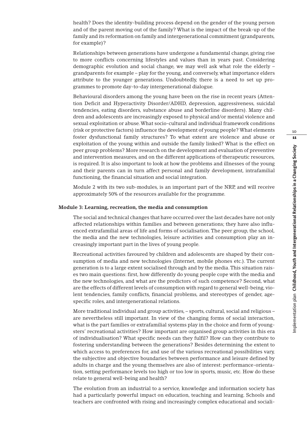health? Does the identity-building process depend on the gender of the young person and of the parent moving out of the family? What is the impact of the break-up of the family and its reformation on family and intergenerational commitment (grandparents, for example)?

Relationships between generations have undergone a fundamental change, giving rise to more conflicts concerning lifestyles and values than in years past. Considering demographic evolution and social change, we may well ask what role the elderly – grandparents for example – play for the young, and conversely, what importance elders attribute to the younger generations. Undoubtedly, there is a need to set up programmes to promote day-to-day intergenerational dialogue.

Behavioural disorders among the young have been on the rise in recent years (Attention Deficit and Hyperactivity Disorder/ADHD, depression, aggressiveness, suicidal tendencies, eating disorders, substance abuse and borderline disorders). Many children and adolescents are increasingly exposed to physical and/or mental violence and sexual exploitation or abuse.What socio-cultural and individual framework conditions (risk or protective factors) influence the development of young people? What elements foster dysfunctional family structures? To what extent are violence and abuse or exploitation of the young within and outside the family linked? What is the effect on peer group problems? More research on the development and evaluation of preventive and intervention measures, and on the different applications of therapeutic resources, is required. It is also important to look at how the problems and illnesses of the young and their parents can in turn affect personal and family development, intrafamilial functioning, the financial situation and social integration.

Module 2 with its two sub-modules, is an important part of the NRP, and will receive approximately 50% of the resources available for the programme.

#### **Module 3: Learning, recreation, the media and consumption**

The social and technical changes that have occurred over the last decades have not only affected relationships within families and between generations; they have also influenced extrafamilial areas of life and forms of socialisation.The peer group, the school, the media and the new technologies, leisure activities and consumption play an increasingly important part in the lives of young people.

Recreational activities favoured by children and adolescents are shaped by their consumption of media and new technologies (Internet, mobile phones etc.). The current generation is to a large extent socialised through and by the media.This situation raises two main questions: first, how differently do young people cope with the media and the new technologies, and what are the predictors of such competence? Second, what are the effects of different levels of consumption with regard to general well-being, violent tendencies, family conflicts, financial problems, and stereotypes of gender, agespecific roles, and intergenerational relations.

More traditional individual and group activities, – sports, cultural, social and religious – are nevertheless still important. In view of the changing forms of social interaction, what is the part families or extrafamilial systems play in the choice and form of youngsters' recreational activities? How important are organised group activities in this era of individualisation? What specific needs can they fulfil? How can they contribute to fostering understanding between the generations? Besides determining the extent to which access to, preferences for, and use of the various recreational possibilities vary, the subjective and objective boundaries between performance and leisure defined by adults in charge and the young themselves are also of interest: performance-orientation, setting performance levels too high or too low in sports, music, etc. How do these relate to general well-being and health?

The evolution from an industrial to a service, knowledge and information society has had a particularly powerful impact on education, teaching and learning. Schools and teachers are confronted with rising and increasingly complex educational and sociali-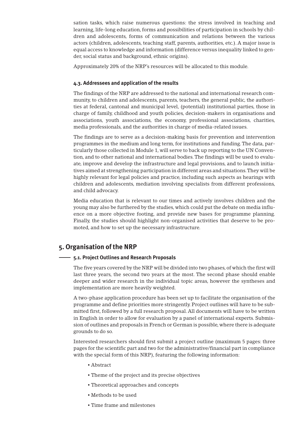sation tasks, which raise numerous questions: the stress involved in teaching and learning, life-long education, forms and possibilities of participation in schools by children and adolescents, forms of communication and relations between the various actors (children, adolescents, teaching staff, parents, authorities, etc.). A major issue is equal access to knowledge and information (difference versus inequality linked to gender, social status and background, ethnic origins).

Approximately 20% of the NRP's resources will be allocated to this module.

#### **4.3. Addressees and application of the results**

The findings of the NRP are addressed to the national and international research community, to children and adolescents, parents, teachers, the general public, the authorities at federal, cantonal and municipal level, (potential) institutional parties, those in charge of family, childhood and youth policies, decision-makers in organisations and associations, youth associations, the economy, professional associations, charities, media professionals, and the authorities in charge of media-related issues.

The findings are to serve as a decision-making basis for prevention and intervention programmes in the medium and long term, for institutions and funding.The data, particularly those collected in Module 1, will serve to back up reporting to the UN Convention, and to other national and international bodies.The findings will be used to evaluate, improve and develop the infrastructure and legal provisions, and to launch initiatives aimed at strengthening participation in different areas and situations.They will be highly relevant for legal policies and practice, including such aspects as hearings with children and adolescents, mediation involving specialists from different professions, and child advocacy.

Media education that is relevant to our times and actively involves children and the young may also be furthered by the studies, which could put the debate on media influence on a more objective footing, and provide new bases for programme planning. Finally, the studies should highlight non-organised activities that deserve to be promoted, and how to set up the necessary infrastructure.

# **5. Organisation of the NRP**

#### **5.1. Project Outlines and Research Proposals**

The five years covered by the NRP will be divided into two phases, of which the first will last three years, the second two years at the most. The second phase should enable deeper and wider research in the individual topic areas, however the syntheses and implementation are more heavily weighted.

A two-phase application procedure has been set up to facilitate the organisation of the programme and define priorities more stringently. Project outlines will have to be submitted first, followed by a full research proposal. All documents will have to be written in English in order to allow for evaluation by a panel of international experts. Submission of outlines and proposals in French or German is possible, where there is adequate grounds to do so.

Interested researchers should first submit a project outline (maximum 5 pages: three pages for the scientific part and two for the administrative/financial part in compliance with the special form of this NRP), featuring the following information:

- Abstract
- Theme of the project and its precise objectives
- Theoretical approaches and concepts
- Methods to be used
- Time frame and milestones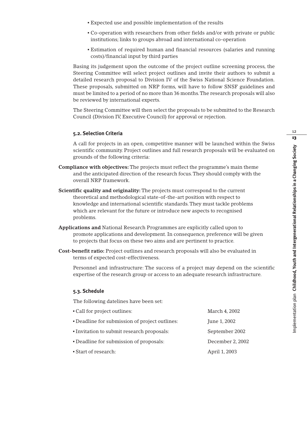- Expected use and possible implementation of the results
- Co-operation with researchers from other fields and/or with private or public institutions; links to groups abroad and international co-operation
- Estimation of required human and financial resources (salaries and running costs)/financial input by third parties

Basing its judgement upon the outcome of the project outline screening process, the Steering Committee will select project outlines and invite their authors to submit a detailed research proposal to Division IV of the Swiss National Science Foundation. These proposals, submitted on NRP forms, will have to follow SNSF guidelines and must be limited to a period of no more than 36 months.The research proposals will also be reviewed by international experts.

The Steering Committee will then select the proposals to be submitted to the Research Council (Division IV, Executive Council) for approval or rejection.

### **5.2. Selection Criteria**

A call for projects in an open, competitive manner will be launched within the Swiss scientific community. Project outlines and full research proposals will be evaluated on grounds of the following criteria:

- **Compliance with objectives:** The projects must reflect the programme's main theme and the anticipated direction of the research focus.They should comply with the overall NRP framework.
- **Scientific quality and originality:** The projects must correspond to the current theoretical and methodological state-of-the-art position with respect to knowledge and international scientific standards.They must tackle problems which are relevant for the future or introduce new aspects to recognised problems.
- **Applications and** National Research Programmes are explicitly called upon to promote applications and development. In consequence, preference will be given to projects that focus on these two aims and are pertinent to practice.
- **Cost-benefit ratio:** Project outlines and research proposals will also be evaluated in terms of expected cost-effectiveness.

Personnel and infrastructure: The success of a project may depend on the scientific expertise of the research group or access to an adequate research infrastructure.

#### **5.3. Schedule**

The following datelines have been set:

| • Call for project outlines:                   | March 4, 2002    |
|------------------------------------------------|------------------|
| • Deadline for submission of project outlines: | June 1, 2002     |
| • Invitation to submit research proposals:     | September 2002   |
| • Deadline for submission of proposals:        | December 2, 2002 |
| • Start of research:                           | April 1, 2003    |
|                                                |                  |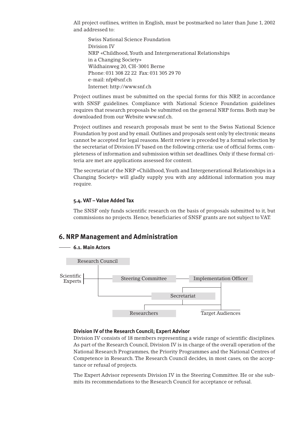All project outlines, written in English, must be postmarked no later than June 1, 2002 and addressed to:

Swiss National Science Foundation Division IV NRP «Childhood,Youth and Intergenerational Relationships in a Changing Society» Wildhainweg 20, CH-3001 Berne Phone: 031 308 22 22 Fax: 031 305 29 70 e-mail: nfp@snf.ch Internet: http://www.snf.ch

Project outlines must be submitted on the special forms for this NRP, in accordance with SNSF guidelines. Compliance with National Science Foundation guidelines requires that research proposals be submitted on the general NRP forms. Both may be downloaded from our Website www.snf.ch.

Project outlines and research proposals must be sent to the Swiss National Science Foundation by post and by email. Outlines and proposals sent only by electronic means cannot be accepted for legal reasons. Merit review is preceded by a formal selection by the secretariat of Division IV based on the following criteria: use of official forms, completeness of information and submission within set deadlines. Only if these formal criteria are met are applications assessed for content.

The secretariat of the NRP «Childhood,Youth and Intergenerational Relationships in a Changing Society» will gladly supply you with any additional information you may require.

# **5.4. VAT – Value Added Tax**

The SNSF only funds scientific research on the basis of proposals submitted to it, but commissions no projects. Hence, beneficiaries of SNSF grants are not subject to VAT.

# **6. NRP Management and Administration**

# **6.1. Main Actors**



# **Division IV of the Research Council; Expert Advisor**

Division IV consists of 18 members representing a wide range of scientific disciplines. As part of the Research Council, Division IV is in charge of the overall operation of the National Research Programmes, the Priority Programmes and the National Centres of Competence in Research. The Research Council decides, in most cases, on the acceptance or refusal of projects.

The Expert Advisor represents Division IV in the Steering Committee. He or she submits its recommendations to the Research Council for acceptance or refusal.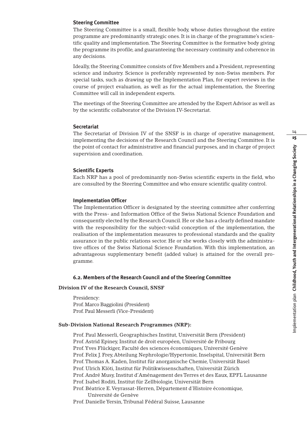### **Steering Committee**

The Steering Committee is a small, flexible body, whose duties throughout the entire programme are predominantly strategic ones. It is in charge of the programme's scientific quality and implementation.The Steering Committee is the formative body giving the programme its profile, and guaranteeing the necessary continuity and coherence in any decisions.

Ideally, the Steering Committee consists of five Members and a President, representing science and industry. Science is preferably represented by non-Swiss members. For special tasks, such as drawing up the Implementation Plan, for expert reviews in the course of project evaluation, as well as for the actual implementation, the Steering Committee will call in independent experts.

The meetings of the Steering Committee are attended by the Expert Advisor as well as by the scientific collaborator of the Division IV-Secretariat.

#### **Secretariat**

The Secretariat of Division IV of the SNSF is in charge of operative management, implementing the decisions of the Research Council and the Steering Committee. It is the point of contact for administrative and financial purposes, and in charge of project supervision and coordination.

# **Scientific Experts**

Each NRP has a pool of predominantly non-Swiss scientific experts in the field, who are consulted by the Steering Committee and who ensure scientific quality control.

#### **Implementation Officer**

The Implementation Officer is designated by the steering committee after conferring with the Press- and Information Office of the Swiss National Science Foundation and consequently elected by the Research Council. He or she has a clearly defined mandate with the responsibility for the subject-valid conception of the implementation, the realisation of the implementation measures to professional standards and the quality assurance in the public relations sector. He or she works closely with the administrative offices of the Swiss National Science Foundation. With this implementation, an advantageous supplementary benefit (added value) is attained for the overall programme.

# **6.2. Members of the Research Council and of the Steering Committee**

#### **Division IV of the Research Council, SNSF**

Presidency: Prof. Marco Baggiolini (President) Prof. Paul Messerli (Vice-President)

#### **Sub-Division National Research Programmes (NRP):**

Prof. Paul Messerli, Geographisches Institut, Universität Bern (President) Prof. Astrid Epiney, Institut de droit européen, Université de Fribourg Prof.Yves Flückiger, Faculté des sciences économiques, Université Genève Prof. Felix J. Frey, Abteilung Nephrologie/Hypertonie, Inselspital, Universität Bern Prof.Thomas A. Kaden, Institut für anorganische Chemie, Universität Basel Prof. Ulrich Klöti, Institut für Politikwissenschaften, Universität Zürich Prof. André Musy, Institut d'Aménagement des Terres et des Eaux, EPFL Lausanne Prof. Isabel Roditi, Institut für Zellbiologie, Universität Bern Prof. Béatrice E.Veyrassat-Herren, Département d'Histoire économique, Université de Genève Prof. Danielle Yersin,Tribunal Fédéral Suisse, Lausanne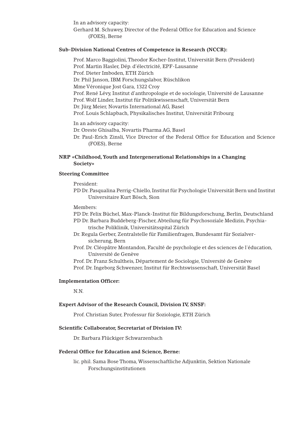In an advisory capacity: Gerhard M. Schuwey, Director of the Federal Office for Education and Science (FOES), Berne

### **Sub-Division National Centres of Competence in Research (NCCR):**

Prof. Marco Baggiolini,Theodor Kocher-Institut, Universität Bern (President) Prof. Martin Hasler, Dép. d'électricité, EPF-Lausanne Prof. Dieter Imboden, ETH Zürich Dr. Phil Janson, IBM Forschungslabor, Rüschlikon Mme Véronique Jost Gara, 1322 Croy Prof. René Lévy, Institut d'anthropologie et de sociologie, Université de Lausanne Prof.Wolf Linder, Institut für Politikwissenschaft, Universität Bern Dr. Jürg Meier, Novartis International AG, Basel Prof. Louis Schlapbach, Physikalisches Institut, Universität Fribourg

In an advisory capacity: Dr. Oreste Ghisalba, Novartis Pharma AG, Basel Dr. Paul-Erich Zinsli, Vice Director of the Federal Office for Education and Science (FOES), Berne

# **NRP «Childhood,Youth and Intergenerational Relationships in a Changing Society»**

### **Steering Committee**

President:

PD Dr. Pasqualina Perrig-Chiello, Institut für Psychologie Universität Bern und Institut Universitaire Kurt Bösch, Sion

Members:

PD Dr. Felix Büchel, Max-Planck-Institut für Bildungsforschung, Berlin, Deutschland

- PD Dr. Barbara Buddeberg-Fischer, Abteilung für Psychosoziale Medizin, Psychiatrische Poliklinik, Universitätsspital Zürich
- Dr. Regula Gerber, Zentralstelle für Familienfragen, Bundesamt für Sozialversicherung, Bern
- Prof. Dr. Cléopâtre Montandon, Faculté de psychologie et des sciences de l'éducation, Université de Genève
- Prof. Dr. Franz Schultheis, Département de Sociologie, Université de Genève

Prof. Dr. Ingeborg Schwenzer, Institut für Rechtswissenschaft, Universität Basel

### **Implementation Officer:**

N.N.

#### **Expert Advisor of the Research Council, Division IV, SNSF:**

Prof. Christian Suter, Professur für Soziologie, ETH Zürich

#### **Scientific Collaborator, Secretariat of Division IV:**

Dr. Barbara Flückiger Schwarzenbach

#### **Federal Office for Education and Science, Berne:**

lic. phil. Sama Bose Thoma, Wissenschaftliche Adjunktin, Sektion Nationale Forschungsinstitutionen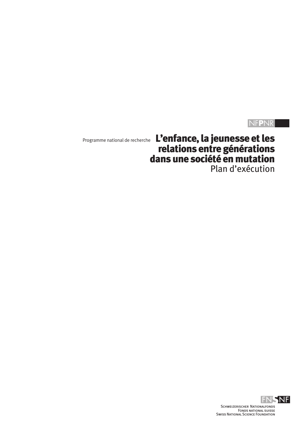# NF**P**NR

Programme national de recherche L'enfance, la jeunesse et les relations entre générations dans une société en mutation Plan d'exécution

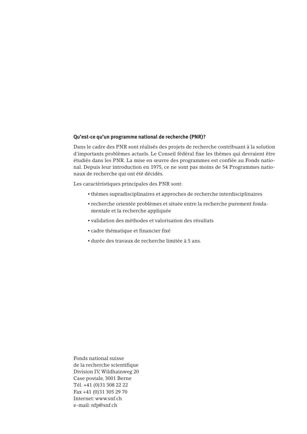#### **Qu'est-ce qu'un programme national de recherche (PNR)?**

Dans le cadre des PNR sont réalisés des projets de recherche contribuant à la solution d'importants problèmes actuels. Le Conseil fédéral fixe les thèmes qui devraient être étudiés dans les PNR. La mise en œuvre des programmes est confiée au Fonds national. Depuis leur introduction en 1975, ce ne sont pas moins de 54 Programmes nationaux de recherche qui ont été décidés.

Les caractéristiques principales des PNR sont:

- thèmes supradisciplinaires et approches de recherche interdisciplinaires
- recherche orientée problèmes et située entre la recherche purement fondamentale et la recherche appliquée
- validation des méthodes et valorisation des résultats
- cadre thématique et financier fixé
- durée des travaux de recherche limitée à 5 ans.

Fonds national suisse de la recherche scientifique Division IV,Wildhainweg 20 Case postale, 3001 Berne Tél. +41 (0)31 308 22 22 Fax +41 (0)31 305 29 70 Internet: www.snf.ch e-mail: nfp@snf.ch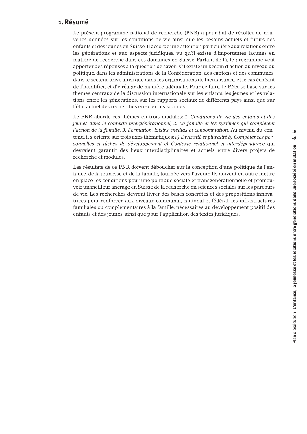# **1. Résumé**

Le présent programme national de recherche (PNR) a pour but de récolter de nouvelles données sur les conditions de vie ainsi que les besoins actuels et futurs des enfants et des jeunes en Suisse. Il accorde une attention particulière aux relations entre les générations et aux aspects juridiques, vu qu'il existe d'importantes lacunes en matière de recherche dans ces domaines en Suisse. Partant de là, le programme veut apporter des réponses à la question de savoir s'il existe un besoin d'action au niveau du politique, dans les administrations de la Confédération, des cantons et des communes, dans le secteur privé ainsi que dans les organisations de bienfaisance, et le cas échéant de l'identifier, et d'y réagir de manière adéquate. Pour ce faire, le PNR se base sur les thèmes centraux de la discussion internationale sur les enfants, les jeunes et les relations entre les générations, sur les rapports sociaux de différents pays ainsi que sur l'état actuel des recherches en sciences sociales.

Le PNR aborde ces thèmes en trois modules: *1. Conditions de vie des enfants et des jeunes dans le contexte intergénérationnel, 2. La famille et les systèmes qui complètent l'action de la famille, 3. Formation, loisirs, médias et consommation.* Au niveau du contenu, il s'oriente sur trois axes thématiques: *a) Diversité et pluralité b) Compétences personnelles et tâches de développement c) Contexte relationnel et interdépendance* qui devraient garantir des lieux interdisciplinaires et actuels entre divers projets de recherche et modules.

Les résultats de ce PNR doivent déboucher sur la conception d'une politique de l'enfance, de la jeunesse et de la famille, tournée vers l'avenir. Ils doivent en outre mettre en place les conditions pour une politique sociale et transgénérationnelle et promouvoir un meilleur ancrage en Suisse de la recherche en sciences sociales sur les parcours de vie. Les recherches devront livrer des bases concrètes et des propositions innovatrices pour renforcer, aux niveaux communal, cantonal et fédéral, les infrastructures familiales ou complémentaires à la famille, nécessaires au développement positif des enfants et des jeunes, ainsi que pour l'application des textes juridiques.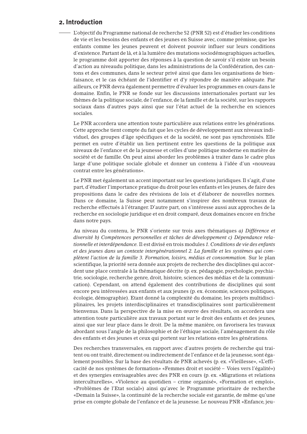# **2. Introduction**

L'objectif du Programme national de recherche 52 (PNR 52) est d'étudier les conditions de vie et les besoins des enfants et des jeunes en Suisse avec, comme prémisse, que les enfants comme les jeunes peuvent et doivent pouvoir influer sur leurs conditions d'existence. Partant de là, et à la lumière des mutations sociodémographiques actuelles, le programme doit apporter des réponses à la question de savoir s'il existe un besoin d'action au niveaudu politique, dans les administrations de la Confédération, des cantons et des communes, dans le secteur privé ainsi que dans les organisations de bienfaisance, et le cas échéant de l'identifier et d'y répondre de manière adéquate. Par ailleurs, ce PNR devra également permettre d'évaluer les programmes en cours dans le domaine. Enfin, le PNR se fonde sur les discussions internationales portant sur les thèmes de la politique sociale, de l'enfance, de la famille et de la société, sur les rapports sociaux dans d'autres pays ainsi que sur l'état actuel de la recherche en sciences sociales.

Le PNR accordera une attention toute particulière aux relations entre les générations. Cette approche tient compte du fait que les cycles de développement aux niveaux individuel, des groupes d'âge spécifiques et de la société, ne sont pas synchronisés. Elle permet en outre d'établir un lien pertinent entre les questions de la politique aux niveaux de l'enfance et de la jeunesse et celles d'une politique moderne en matière de société et de famille. On peut ainsi aborder les problèmes à traiter dans le cadre plus large d'une politique sociale globale et donner un contenu à l'idée d'un «nouveau contrat entre les générations».

Le PNR met également un accent important sur les questions juridiques. Il s'agit, d'une part, d'étudier l'importance pratique du droit pour les enfants et les jeunes, de faire des propositions dans le cadre des révisions de lois et d'élaborer de nouvelles normes. Dans ce domaine, la Suisse peut notamment s'inspirer des nombreux travaux de recherche effectués à l'étranger. D'autre part, on s'intéresse aussi aux approches de la recherche en sociologie juridique et en droit comparé, deux domaines encore en friche dans notre pays.

Au niveau du contenu, le PNR s'oriente sur trois axes thématiques *a) Différence et diversité b) Compétences personnelles et tâches de développement c) Dépendance relationnelle et interdépendance.* Il est divisé en trois modules *1. Conditions de vie des enfants et des jeunes dans un contexte intergénérationnel 2. La famille et les systèmes qui complètent l'action de la famille 3. Formation, loisirs, médias et consommation.* Sur le plan scientifique, la priorité sera donnée aux projets de recherche des disciplines qui accordent une place centrale à la thématique décrite (p. ex. pédagogie, psychologie, psychiatrie, sociologie, recherche genre, droit, histoire, sciences des médias et de la communication). Cependant, on attend également des contributions de disciplines qui sont encore peu intéressées aux enfants et aux jeunes (p. ex. économie, sciences politiques, écologie, démographie). Etant donné la complexité du domaine, les projets multidisciplinaires, les projets interdisciplinaires et transdisciplinaires sont particulièrement bienvenus. Dans la perspective de la mise en œuvre des résultats, on accordera une attention toute particulière aux travaux portant sur le droit des enfants et des jeunes, ainsi que sur leur place dans le droit. De la même manière, on favorisera les travaux abordant sous l'angle de la philosophie et de l'éthique sociale, l'aménagement du rôle des enfants et des jeunes et ceux qui portent sur les relations entre les générations.

Des recherches transversales, en rapport avec d'autres projets de recherche qui traitent ou ont traité, directement ou indirectement de l'enfance et de la jeunesse, sont également possibles. Sur la base des résultats de PNR achevés (p. ex. «Vieillesse», «L'efficacité de nos systèmes de formation» «Femmes droit et société – Voies vers l'égalité») et des synergies envisageables avec des PNR en cours (p. ex. «Migrations et relations interculturelles», «Violence au quotidien – crime organisé», «Formation et emploi», «Problèmes de l'Etat social») ainsi qu'avec le Programme prioritaire de recherche «Demain la Suisse», la continuité de la recherche sociale est garantie, de même qu'une prise en compte globale de l'enfance et de la jeunesse. Le nouveau PNR «Enfance, jeu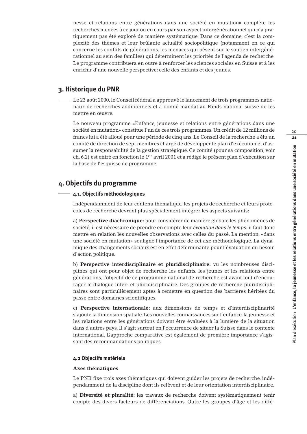nesse et relations entre générations dans une société en mutation» complète les recherches menées à ce jour ou en cours par son aspect intergénérationnel qui n'a pratiquement pas été exploré de manière systématique. Dans ce domaine, c'est la complexité des thèmes et leur brûlante actualité sociopolitique (notamment en ce qui concerne les conflits de générations, les menaces qui pèsent sur le soutien intergénérationnel au sein des familles) qui déterminent les priorités de l'agenda de recherche. Le programme contribuera en outre à renforcer les sciences sociales en Suisse et à les enrichir d'une nouvelle perspective: celle des enfants et des jeunes.

# **3. Historique du PNR**

Le 23 août 2000, le Conseil fédéral a approuvé le lancement de trois programmes nationaux de recherches additionnels et a donné mandat au Fonds national suisse de les mettre en œuvre.

Le nouveau programme «Enfance, jeunesse et relations entre générations dans une société en mutation» constitue l'un de ces trois programmes. Un crédit de 12 millions de francs lui a été alloué pour une période de cinq ans. Le Conseil de la recherche a élu un comité de direction de sept membres chargé de développer le plan d'exécution et d'assumer la responsabilité de la gestion stratégique. Ce comité (pour sa composition, voir ch. 6.2) est entré en fonction le 1er avril 2001 et a rédigé le présent plan d'exécution sur la base de l'esquisse de programme.

# **4. Objectifs du programme**

# **4.1. Objectifs méthodologiques**

Indépendamment de leur contenu thématique, les projets de recherche et leurs protocoles de recherche devront plus spécialement intégrer les aspects suivants:

a) **Perspective diachronique:** pour considérer de manière globale les phénomènes de société, il est nécessaire de prendre en compte leur *évolution dans le temps:* il faut donc mettre en relation les nouvelles observations avec celles du passé. La mention, «dans une société en mutation» souligne l'importance de cet axe méthodologique. La dynamique des changements sociaux est en effet déterminante pour l'évaluation du besoin d'action politique.

b) **Perspective interdisciplinaire et pluridisciplinaire:** vu les nombreuses disciplines qui ont pour objet de recherche les enfants, les jeunes et les relations entre générations, l'objectif de ce programme national de recherche est avant tout d'encourager le dialogue inter- et pluridisciplinaire. Des groupes de recherche pluridisciplinaires sont particulièrement aptes à remettre en question des barrières héritées du passé entre domaines scientifiques.

c) **Perspective internationale:** aux dimensions de temps et d'interdisciplinarité s'ajoute la dimension spatiale. Les nouvelles connaissances sur l'enfance, la jeunesse et les relations entre les générations doivent être évaluées à la lumière de la situation dans d'autres pays. Il s'agit surtout en l'occurrence de situer la Suisse dans le contexte international. L'approche comparative est également de première importance s'agissant des recommandations politiques

#### **4.2 Objectifs matériels**

#### **Axes thématiques**

Le PNR fixe trois axes thématiques qui doivent guider les projets de recherche, indépendamment de la discipline dont ils relèvent et de leur orientation interdisciplinaire.

a) **Diversité et pluralité:** les travaux de recherche doivent systématiquement tenir compte des divers facteurs de différenciations. Outre les groupes d'âge et les diffé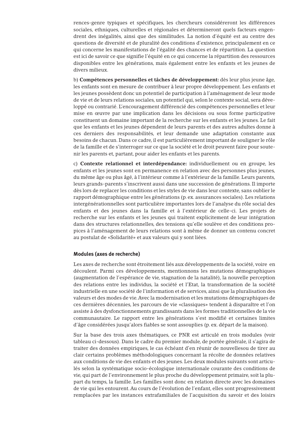rences-genre typiques et spécifiques, les chercheurs considéreront les différences sociales, ethniques, culturelles et régionales et détermineront quels facteurs engendrent des inégalités, ainsi que des similitudes. La notion d'équité est au centre des questions de diversité et de pluralité des conditions d'existence, principalement en ce qui concerne les manifestations de l'égalité des chances et de répartition. La question est ici de savoir ce que signifie l'équité en ce qui concerne la répartition des ressources disponibles entre les générations, mais également entre les enfants et les jeunes de divers milieux.

b) **Compétences personnelles et tâches de développement:** dès leur plus jeune âge, les enfants sont en mesure de contribuer à leur propre développement. Les enfants et les jeunes possèdent donc un potentiel de participation à l'aménagement de leur mode de vie et de leurs relations sociales, un potentiel qui, selon le contexte social, sera développé ou contrarié. L'encouragement différencié des compétences personnelles et leur mise en œuvre par une implication dans les décisions ou sous forme participative constituent un domaine important de la recherche sur les enfants et les jeunes. Le fait que les enfants et les jeunes dépendent de leurs parents et des autres adultes donne à ces derniers des responsabilités, et leur demande une adaptation constante aux besoins de chacun. Dans ce cadre, il est particulièrement important de souligner le rôle de la famille et de s'interroger sur ce que la société et le droit peuvent faire pour soutenir les parents et, partant, pour aider les enfants et les parents.

c) **Contexte relationnel et interdépendance:** individuellement ou en groupe, les enfants et les jeunes sont en permanence en relation avec des personnes plus jeunes, du même âge ou plus âgé, à l'intérieur comme à l'extérieur de la famille. Leurs parents, leurs grands-parents s'inscrivent aussi dans une succession de générations. Il importe dès lors de replacer les conditions et les styles de vie dans leur contexte, sans oublier le rapport démographique entre les générations (p. ex. assurances sociales). Les relations intergénérationnelles sont particulière importantes lors de l'analyse du rôle social des enfants et des jeunes dans la famille et à l'extérieur de celle-ci. Les projets de recherche sur les enfants et les jeunes qui traitent explicitement de leur intégration dans des structures relationnelles, des tensions qu'elle soulève et des conditions propices à l'aménagement de leurs relations sont à même de donner un contenu concret au postulat de «Solidarité» et aux valeurs qui y sont liées.

#### **Modules (axes de recherche)**

Les axes de recherche sont étroitement liés aux développements de la société, voire en découlent. Parmi ces développements, mentionnons les mutations démographiques (augmentation de l'espérance de vie, stagnation de la natalité), la nouvelle perception des relations entre les individus, la société et l'Etat, la transformation de la société industrielle en une société de l'information et de services, ainsi que la pluralisation des valeurs et des modes de vie.Avec la modernisation et les mutations démographiques de ces dernières décennies, les parcours de vie «classiques» tendent à disparaître et l'on assiste à des dysfonctionnements grandissants dans les formes traditionnelles de la vie communautaire. Le rapport entre les générations s'est modifié et certaines limites d'âge considérées jusqu'alors fiables se sont assouplies (p. ex. départ de la maison).

Sur la base des trois axes thématiques, ce PNR est articulé en trois modules (voir tableau ci-dessous). Dans le cadre du premier module, de portée générale, il s'agira de traiter des données empiriques, le cas échéant d'en réunir de nouvellesou de tirer au clair certains problèmes méthodologiques concernant la récolte de données relatives aux conditions de vie des enfants et des jeunes. Les deux modules suivants sont articulés selon la systématique socio-écologique internationale courante des conditions de vie, qui part de l'environnement le plus proche du développement primaire, soit la plupart du temps, la famille. Les familles sont donc en relation directe avec les domaines de vie qui les entourent.Au cours de l'évolution de l'enfant, elles sont progressivement remplacées par les instances extrafamiliales de l'acquisition du savoir et des loisirs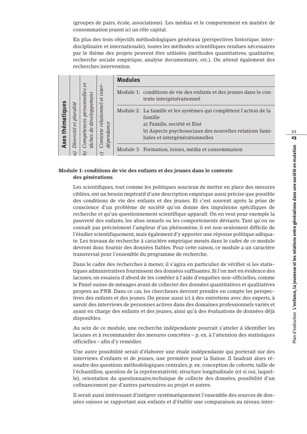(groupes de pairs, école, associations). Les médias et le comportement en matière de consommation jouent ici un rôle capital.

En plus des trois objectifs méthodologiques généraux (perspectives historique, interdisciplinaire et internationale), toutes les méthodes scientifiques rendues nécessaires par le thème des projets peuvent être utilisées (méthodes quantitatives, qualitative, recherche sociale empirique, analyse documentaire, etc.). On attend également des recherches intervention.

| ທ<br>نە<br>Ō<br>mati<br>۰ā<br>xes | pluralité<br>$\ddot{t}$<br>sité<br>ive: | et<br>S<br>développement<br>personn<br>$\mathcal{C}ompeten$<br>de<br>tâches | inter<br>et<br>lationnel<br>dépendance<br>ρ<br>Contexte | <b>Modules</b> |                                                                                                                                                                                                           |
|-----------------------------------|-----------------------------------------|-----------------------------------------------------------------------------|---------------------------------------------------------|----------------|-----------------------------------------------------------------------------------------------------------------------------------------------------------------------------------------------------------|
|                                   |                                         |                                                                             |                                                         |                | Module 1: conditions de vie des enfants et des jeunes dans le con-<br>texte intergénérationnel                                                                                                            |
|                                   |                                         |                                                                             |                                                         |                | Module 2: La famille et les systèmes qui complètent l'action de la<br>famille<br>a) Famille, société et Etat<br>b) Aspects psychosociaux des nouvelles relations fami-<br>liales et intergénérationnelles |
|                                   | $\vec{r}$                               |                                                                             |                                                         |                | Module 3: Formation, loisirs, média et consommation                                                                                                                                                       |

# **Module 1: conditions de vie des enfants et des jeunes dans le contexte des générations**

Les scientifiques, tout comme les politiques soucieux de mettre en place des mesures ciblées, ont un besoin impératif d'une description empirique aussi précise que possible des conditions de vie des enfants et des jeunes. Et c'est souvent après la prise de conscience d'un problème de société qu'on donne des impulsions spécifiques de recherche et qu'un questionnement scientifique apparaît. On en veut pour exemple la pauvreté des enfants, les abus sexuels ou les comportements déviants. Tant qu'on ne connaît pas précisément l'ampleur d'un phénomène, il est non seulement difficile de l'étudier scientifiquement, mais également d'y apporter une réponse politique adéquate. Les travaux de recherche à caractère empirique menés dans le cadre de ce module devront donc fournir des données fiables. Pour cette raison, ce module a un caractère transversal pour l'ensemble du programme de recherche.

Dans le cadre des recherches à mener, il s'agira en particulier de vérifier si les statistiques administratives fournissent des données suffisantes. Si l'on met en évidence des lacunes, on essaiera d'abord de les combler à l'aide d'enquêtes non-officielles, comme le Panel suisse de ménages avant de collecter des données quantitatives et qualitatives propres au PNR. Dans ce cas, les chercheurs devront prendre en compte les perspectives des enfants et des jeunes. On pense aussi ici à des entretiens avec des experts, à savoir des interviews de personnes actives dans des domaines professionnels variés et ayant en charge des enfants et des jeunes, ainsi qu'à des évaluations de données déjà disponibles.

Au sein de ce module, une recherche indépendante pourrait s'atteler à identifier les lacunes et à recommander des mesures concrètes – p. ex. à l'attention des statistiques officielles – afin d'y remédier.

Une autre possibilité serait d'élaborer une étude indépendante qui porterait sur des interviews d'enfants et de jeunes, une première pour la Suisse. Il faudrait alors résoudre des questions méthodologiques centrales, p. ex. conception de cohorte, taille de l'échantillon, question de la représentativité, structure longitudinale (et si oui, laquelle), orientation du questionnaire,technique de collecte des données, possibilité d'un cofinancement par d'autres partenaires au projet et autres.

Il serait aussi intéressant d'intégrer systématiquement l'ensemble des sources de données suisses se rapportant aux enfants et d'établir une comparaison au niveau inter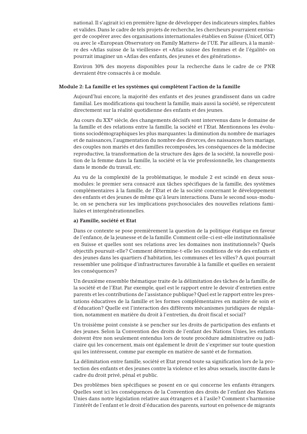national. Il s'agirait ici en première ligne de développer des indicateurs simples, fiables et valides. Dans le cadre de tels projets de recherche, les chercheurs pourraient envisager de coopérer avec des organisations internationales établies en Suisse (Unicef, OIT) ou avec le «European Observatory on Family Matters» de l'UE. Par ailleurs, à la manière des «Atlas suisse de la vieillesse» et «Atlas suisse des femmes et de l'égalité» on pourrait imaginer un «Atlas des enfants, des jeunes et des générations».

Environ 30% des moyens disponibles pour la recherche dans le cadre de ce PNR devraient être consacrés à ce module.

#### **Module 2: La famille et les systèmes qui complètent l'action de la famille**

Aujourd'hui encore, la majorité des enfants et des jeunes grandissent dans un cadre familial. Les modifications qui touchent la famille, mais aussi la société, se répercutent directement sur la réalité quotidienne des enfants et des jeunes.

Au cours du XXe siècle, des changements décisifs sont intervenus dans le domaine de la famille et des relations entre la famille, la société et l'Etat. Mentionnons les évolutions sociodémographiques les plus marquantes: la diminution du nombre de mariages et de naissances, l'augmentation du nombre des divorces, des naissances hors mariage, des couples non mariés et des familles recomposées, les conséquences de la médecine reproductive, la transformation de la structure des âges de la société, la nouvelle position de la femme dans la famille, la société et la vie professionnelle, les changements dans le monde du travail, etc.

Au vu de la complexité de la problématique, le module 2 est scindé en deux sousmodules: le premier sera consacré aux tâches spécifiques de la famille, des systèmes complémentaires à la famille, de l'Etat et de la société concernant le développement des enfants et des jeunes de même qu'à leurs interactions. Dans le second sous-module, on se penchera sur les implications psychosociales des nouvelles relations familiales et intergénérationnelles.

#### **a) Famille, société et Etat**

Dans ce contexte se pose premièrement la question de la politique étatique en faveur de l'enfance, de la jeunesse et de la famille. Comment celle-ci est-elle institutionnalisée en Suisse et quelles sont ses relations avec les domaines non institutionnels? Quels objectifs poursuit-elle? Comment détermine-t-elle les conditions de vie des enfants et des jeunes dans les quartiers d'habitation, les communes et les villes? A quoi pourrait ressembler une politique d'infrastructures favorable à la famille et quelles en seraient les conséquences?

Un deuxième ensemble thématique traite de la délimitation des tâches de la famille, de la société et de l'Etat. Par exemple, quel est le rapport entre le devoir d'entretien entre parents et les contributions de l'assistance publique? Quel est le rapport entre les prestations éducatives de la famille et les formes complémentaires en matière de soin et d'éducation? Quelle est l'interaction des différents mécanismes juridiques de régulation, notamment en matière du droit à l'entretien, du droit fiscal et social?

Un troisième point consiste à se pencher sur les droits de participation des enfants et des jeunes. Selon la Convention des droits de l'enfant des Nations Unies, les enfants doivent être non seulement entendus lors de toute procédure administrative ou judiciaire qui les concernent, mais ont également le droit de s'exprimer sur toute question qui les intéressent, comme par exemple en matière de santé et de formation.

La délimitation entre famille, société et Etat prend toute sa signification lors de la protection des enfants et des jeunes contre la violence et les abus sexuels, inscrite dans le cadre du droit privé, pénal et public.

Des problèmes bien spécifiques se posent en ce qui concerne les enfants étrangers. Quelles sont ici les conséquences de la Convention des droits de l'enfant des Nations Unies dans notre législation relative aux étrangers et à l'asile? Comment s'harmonise l'intérêt de l'enfant et le droit d'éducation des parents, surtout en présence de migrants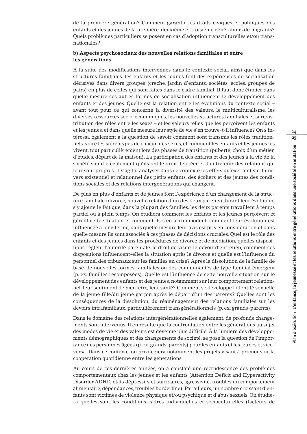de la première génération? Comment garantir les droits civiques et politiques des enfants et des jeunes de la première, deuxième et troisième générations de migrants? Quels problèmes particuliers se posent en cas d'adoption transculturelles et/ou transnationales?

### **b) Aspects psychosociaux des nouvelles relations familiales et entre les générations**

A la suite des modifications intervenues dans le contexte social, ainsi que dans les structures familiales, les enfants et les jeunes font des expériences de socialisation décisives dans divers groupes (crèche, jardin d'enfants, sociétés, écoles, groupes de pairs) en plus de celles qui sont faites dans le cadre familial. Il faut donc étudier dans quelle mesure ces autres formes de socialisation influencent le développement des enfants et des jeunes. Quelle est la relation entre les évolutions du contexte social – avant tout pour ce qui concerne la diversité des valeurs, le multiculturalisme, les diverses ressources socio-économiques, les nouvelles structures familiales et la redistribution des rôles entre les sexes – et les valeurs telles que les perçoivent les enfants et les jeunes, et dans quelle mesure leur style de vie s'en trouve-t-il influencé? On s'intéressa également à la question de savoir comment sont transmis les rôles traditionnels, voire les stéréotypes de chacun des sexes, et comment les enfants et les jeunes les vivent, tout particulièrement lors des phases de transition (puberté, choix d'un métier, d'études, départ de la maison). La participation des enfants et des jeunes à la vie de la société signifie également qu'ils ont le droit de créer et d'entretenir des relations qui leur sont propres. Il s'agit d'analyser dans ce contexte les effets qu'exercent sur l'univers existentiel et relationnel des petits enfants, des écoliers et des jeunes des conditions sociales et des relations intergénérations qui changent.

De plus en plus d'enfants et de jeunes font l'expérience d'un changement de la structure familiale (divorce, nouvelle relation d'un des deux parents) durant leur évolution; s'y ajoute le fait que, dans la plupart des familles, les deux parents travaillent à temps partiel ou à plein temps. On étudiera comment les enfants et les jeunes perçoivent et gèrent cette situation et comment ils s'en accommodent, comment leur évolution est influencée à long terme, dans quelle mesure leur avis est pris en considération et dans quelle mesure ils sont associés à ces phases de décisions cruciales. Quel est le rôle des enfants et des jeunes dans les procédures de divorce et de médiation, quelles dispositions règlent l'autorité parentale, le droit de visite, le devoir d'entretien, comment ces dispositions influencent-elles la situation après le divorce et quelle est l'influence du personnel des tribunaux sur les familles en crise? Après la dissolution de la famille de base, de nouvelles formes familiales ou des communautés de type familial émergent (p. ex. familles recomposées). Quelle est l'influence de cette nouvelle situation sur le développement des enfants et des jeunes, notamment sur leur comportement relationnel, leur sentiment de bien-être, leur santé? Comment se développe l'identité sexuelle de la jeune fille/du jeune garçon après le départ d'un des parents? Quelles sont les conséquences de la dissolution, du réaménagement des relations familiales sur les devoirs intrafamiliaux, particulièrement transgénérationnels (p. ex. grands-parents).

Dans le domaine des relations intergénérationnelles également, de profonds changements sont intervenus. Il en résulte que la confrontation entre les générations au sujet des modes de vie et des valeurs est devenue plus difficile. À la lumière des développements démographiques et des changements de société, se pose la question de l'importance des personnes âgées (p. ex. grands-parents) pour les enfants et les jeunes et viceversa. Dans ce contexte, on privilégiera notamment les projets visant à promouvoir la coopération quotidienne entre les générations.

Au cours de ces dernières années, on a constaté une recrudescence des problèmes comportementaux chez les jeunes et les enfants (Attention Deficit and Hyperactivity Disorder ADHD, états dépressifs et suicidaires, agressivité, troubles du comportement alimentaire, dépendances, troubles borderline). Par ailleurs, un nombre croissant d'enfants sont victimes de violence physique et/ou psychique et d'abus sexuels. On étudiera quelles sont les conditions-cadres individuelles et socioculturelles (facteurs de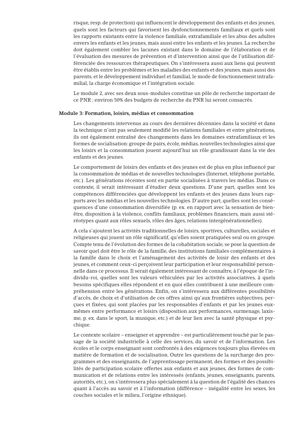risque, resp. de protection) qui influencent le développement des enfants et des jeunes, quels sont les facteurs qui favorisent les dysfonctionnements familiaux et quels sont les rapports existants entre la violence familiale, extrafamiliale et les abus des adultes envers les enfants et les jeunes, mais aussi entre les enfants et les jeunes. La recherche doit également combler les lacunes existant dans le domaine de l'élaboration et de l'évaluation des mesures de prévention et d'intervention ainsi que de l'utilisation différenciée des ressources thérapeutiques. On s'intéressera aussi aux liens qui peuvent être établis entre les problèmes et les maladies des enfants et des jeunes, mais aussi des parents, et le développement individuel et familial, le mode de fonctionnement intrafamilial, la charge économique et l'intégration sociale.

Le module 2, avec ses deux sous-modules constitue un pôle de recherche important de ce PNR ; environ 50% des budgets de recherche du PNR lui seront consacrés.

#### **Module 3: Formation, loisirs, médias et consommation**

Les changements intervenus au cours des dernières décennies dans la société et dans la technique n'ont pas seulement modifié les relations familiales et entre générations, ils ont également entraîné des changements dans les domaines extrafamiliaux et les formes de socialisation: groupe de pairs, école, médias, nouvelles technologies ainsi que les loisirs et la consommation jouent aujourd'hui un rôle grandissant dans la vie des enfants et des jeunes.

Le comportement de loisirs des enfants et des jeunes est de plus en plus influencé par la consommation de médias et de nouvelles technologies (Internet, téléphone portable, etc.). Les générations récentes sont en partie socialisées à travers les médias. Dans ce contexte, il serait intéressant d'étudier deux questions. D'une part, quelles sont les compétences différenciées que développent les enfants et des jeunes dans leurs rapports avec les médias et les nouvelles technologies. D'autre part, quelles sont les conséquences d'une consommation diversifiée (p. ex. en rapport avec la sensation de bienêtre, disposition à la violence, conflits familiaux, problèmes financiers, mais aussi stéréotypes quant aux rôles sexuels, rôles des âges, relations intergénérationnelles).

A cela s'ajoutent les activités traditionnelles de loisirs, sportives, culturelles, sociales et religieuses qui jouent un rôle significatif, qu'elles soient pratiquées seul ou en groupe. Compte tenu de l'évolution des formes de la cohabitation sociale, se pose la question de savoir quel doit être le rôle de la famille, des institutions familiales complémentaires à la famille dans le choix et l'aménagement des activités de loisir des enfants et des jeunes, et comment ceux-ci perçoivent leur participation et leur responsabilité personnelle dans ce processus. Il serait également intéressant de connaître, à l'époque de l'individu-roi, quelles sont les valeurs véhiculées par les activités associatives, à quels besoins spécifiques elles répondent et en quoi elles contribuent à une meilleure compréhension entre les générations. Enfin, on s'intéressera aux différentes possibilités d'accès, de choix et d'utilisation de ces offres ainsi qu'aux frontières subjectives, perçues et fixées, qui sont placées par les responsables d'enfants et par les jeunes euxmêmes entre performance et loisirs (disposition aux performances, surmenage, laxisme, p. ex. dans le sport, la musique, etc.) et de leur lien avec la santé physique et psychique.

Le contexte scolaire – enseigner et apprendre – est particulièrement touché par le passage de la société industrielle à celle des services, du savoir et de l'information. Les écoles et le corps enseignant sont confrontés à des exigences toujours plus élevées en matière de formation et de socialisation. Outre les questions de la surcharge des programmes et des enseignants, de l'apprentissage permanent, des formes et des possibilités de participation scolaire offertes aux enfants et aux jeunes, des formes de communication et de relations entre les intéressés (enfants, jeunes, enseignants, parents, autorités, etc.), on s'intéressera plus spécialement à la question de l'égalité des chances quant à l'accès au savoir et à l'information (différence – inégalité entre les sexes, les couches sociales et le milieu, l'origine ethnique).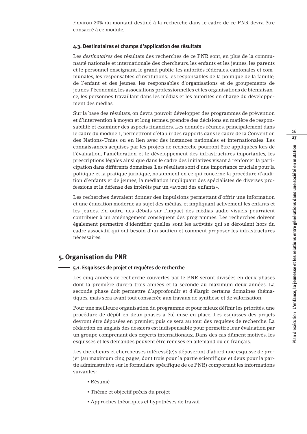Environ 20% du montant destiné à la recherche dans le cadre de ce PNR devra être consacré à ce module.

#### **4.3. Destinataires et champs d'application des résultats**

Les *destinataires* des résultats des recherches de ce PNR sont, en plus de la communauté nationale et internationale des chercheurs, les enfants et les jeunes, les parents et le personnel enseignant, le grand public, les autorités fédérales, cantonales et communales, les responsables d'institutions, les responsables de la politique de la famille, de l'enfant et des jeunes, les responsables d'organisations et de groupements de jeunes, l'économie, les associations professionnelles et les organisations de bienfaisance, les personnes travaillant dans les médias et les autorités en charge du développement des médias.

Sur la base des résultats, on devra pouvoir développer des programmes de prévention et d'intervention à moyen et long termes, prendre des décisions en matière de responsabilité et examiner des aspects financiers. Les données réunies, principalement dans le cadre du module 1, permettront d'établir des rapports dans le cadre de la Convention des Nations-Unies ou en lien avec des instances nationales et internationales. Les connaissances acquises par les projets de recherche pourront être appliquées lors de l'évaluation, l'amélioration et le développement des infrastructures importantes, les prescriptions légales ainsi que dans le cadre des initiatives visant à renforcer la participation dans différents domaines. Les résultats sont d'une importance cruciale pour la politique et la pratique juridique, notamment en ce qui concerne la procédure d'audition d'enfants et de jeunes, la médiation impliquant des spécialistes de diverses professions et la défense des intérêts par un «avocat des enfants».

Les recherches devraient donner des impulsions permettant d'offrir une information et une éducation moderne au sujet des médias, et impliquant activement les enfants et les jeunes. En outre, des débats sur l'impact des médias audio-visuels pourraient contribuer à un aménagement conséquent des programmes. Les recherches doivent également permettre d'identifier quelles sont les activités qui se déroulent hors du cadre associatif qui ont besoin d'un soutien et comment proposer les infrastructures nécessaires.

# **5. Organisation du PNR**

#### **5.1. Esquisses de projet et requêtes de recherche**

Les cinq années de recherche couvertes par le PNR seront divisées en deux phases dont la première durera trois années et la seconde au maximum deux années. La seconde phase doit permettre d'approfondir et d'élargir certains domaines thématiques, mais sera avant tout consacrée aux travaux de synthèse et de valorisation.

Pour une meilleure organisation du programme et pour mieux définir les priorités, une procédure de dépôt en deux phases a été mise en place. Les esquisses des projets devront être déposées en premier, puis ce sera au tour des requêtes de recherche. La rédaction en anglais des dossiers est indispensable pour permettre leur évaluation par un groupe comprenant des experts internationaux. Dans des cas dûment motivés, les esquisses et les demandes peuvent être remises en allemand ou en français.

Les chercheurs et chercheuses intéressé(e)s déposeront d'abord une esquisse de projet (au maximum cinq pages, dont trois pour la partie scientifique et deux pour la partie administrative sur le formulaire spécifique de ce PNR) comportant les informations suivantes:

- Résumé
- Thème et objectif précis du projet
- Approches théoriques et hypothèses de travail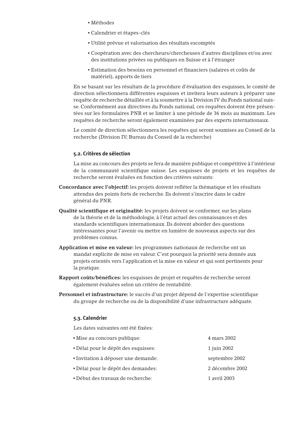- Méthodes
- Calendrier et étapes-clés
- Utilité prévue et valorisation des résultats escomptés
- Coopération avec des chercheurs/chercheuses d'autres disciplines et/ou avec des institutions privées ou publiques en Suisse et à l'étranger
- Estimation des besoins en personnel et financiers (salaires et coûts de matériel), apports de tiers

En se basant sur les résultats de la procédure d'évaluation des esquisses, le comité de direction sélectionnera différentes esquisses et invitera leurs auteurs à préparer une requête de recherche détaillée et à la soumettre à la Division IV du Fonds national suisse. Conformément aux directives du Fonds national, ces requêtes doivent être présentées sur les formulaires PNR et se limiter à une période de 36 mois au maximum. Les requêtes de recherche seront également examinées par des experts internationaux.

Le comité de direction sélectionnera les requêtes qui seront soumises au Conseil de la recherche (Division IV; Bureau du Conseil de la recherche)

#### **5.2. Critères de sélection**

La mise au concours des projets se fera de manière publique et compétitive à l'intérieur de la communauté scientifique suisse. Les esquisses de projets et les requêtes de recherche seront évaluées en fonction des critères suivants:

- **Concordance avec l'objectif:** les projets doivent refléter la thématique et les résultats attendus des points forts de recherche. Ils doivent s'inscrire dans le cadre général du PNR.
- **Qualité scientifique et originalité:** les projets doivent se conformer, sur les plans de la théorie et de la méthodologie, à l'état actuel des connaissances et des standards scientifiques internationaux. Ils doivent aborder des questions intéressantes pour l'avenir ou mettre en lumière de nouveaux aspects sur des problèmes connus.
- **Application et mise en valeur:** les programmes nationaux de recherche ont un mandat explicite de mise en valeur. C'est pourquoi la priorité sera donnée aux projets orientés vers l'application et la mise en valeur et qui sont pertinents pour la pratique.
- **Rapport coûts/bénéfices:** les esquisses de projet et requêtes de recherche seront également évaluées selon un critère de rentabilité.
- **Personnel et infrastructure:** le succès d'un projet dépend de l'expertise scientifique du groupe de recherche ou de la disponibilité d'une infrastructure adéquate.

#### **5.3. Calendrier**

Les dates suivantes ont été fixées:

| • Mise au concours publique:         | 4 mars 2002     |
|--------------------------------------|-----------------|
| • Délai pour le dépôt des esquisses: | 1 juin 2002     |
| • Invitation à déposer une demande:  | septembre 2002  |
| • Délai pour le dépôt des demandes:  | 2 décembre 2002 |
| • Début des travaux de recherche:    | 1 avril 2003    |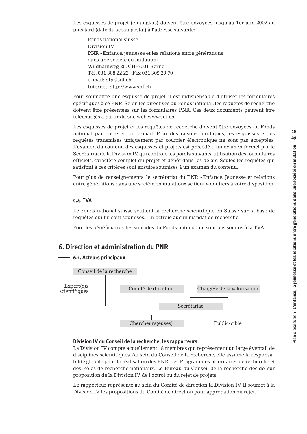Les esquisses de projet (en anglais) doivent être envoyées jusqu'au 1er juin 2002 au plus tard (date du sceau postal) à l'adresse suivante:

Fonds national suisse Division IV PNR «Enfance, jeunesse et les relations entre générations dans une société en mutation» Wildhainweg 20, CH-3001 Berne Tél. 031 308 22 22 Fax 031 305 29 70 e-mail: nfp@snf.ch Internet: http://www.snf.ch

Pour soumettre une esquisse de projet, il est indispensable d'utiliser les formulaires spécifiques à ce PNR. Selon les directives du Fonds national, les requêtes de recherche doivent être présentées sur les formulaires PNR. Ces deux documents peuvent être téléchargés à partir du site web www.snf.ch.

Les esquisses de projet et les requêtes de recherche doivent être envoyées au Fonds national par poste et par e-mail. Pour des raisons juridiques, les esquisses et les requêtes transmises uniquement par courrier électronique ne sont pas acceptées. L'examen du contenu des esquisses et projets est précédé d'un examen formel par le Secrétariat de la Division IV, qui contrôle les points suivants: utilisation des formulaires officiels, caractère complet du projet et dépôt dans les délais. Seules les requêtes qui satisfont à ces critères sont ensuite soumises à un examen du contenu.

Pour plus de renseignements, le secrétariat du PNR «Enfance, Jeunesse et relations entre générations dans une société en mutation» se tient volontiers à votre disposition.

#### **5.4. TVA**

Le Fonds national suisse soutient la recherche scientifique en Suisse sur la base de requêtes qui lui sont soumises. Il n'octroie aucun mandat de recherche.

Pour les bénéficiaires, les subsides du Fonds national ne sont pas soumis à la TVA.

# **6. Direction et administration du PNR**

#### **6.1. Acteurs principaux**



#### **Division IV du Conseil de la recherche, les rapporteurs**

La Division IV compte actuellement 18 membres qui représentent un large éventail de disciplines scientifiques. Au sein du Conseil de la recherche, elle assume la responsabilité globale pour la réalisation des PNR, des Programmes prioritaires de recherche et des Pôles de recherche nationaux. Le Bureau du Conseil de la recherche décide, sur proposition de la Division IV, de l'octroi ou du rejet de projets.

Le rapporteur représente au sein du Comité de direction la Division IV. Il soumet à la Division IV les propositions du Comité de direction pour approbation ou rejet.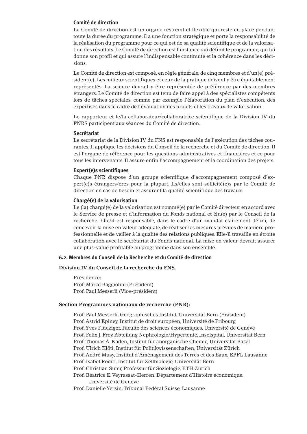### **Comité de direction**

Le Comité de direction est un organe restreint et flexible qui reste en place pendant toute la durée du programme; il a une fonction stratégique et porte la responsabilité de la réalisation du programme pour ce qui est de sa qualité scientifique et de la valorisation des résultats. Le Comité de direction est l'instance qui définit le programme, qui lui donne son profil et qui assure l'indispensable continuité et la cohérence dans les décisions.

Le Comité de direction est composé, en règle générale, de cinq membres et d'un(e) président(e). Les milieux scientifiques et ceux de la pratique doivent y être équitablement représentés. La science devrait y être représentée de préférence par des membres étrangers. Le Comité de direction est tenu de faire appel à des spécialistes compétents lors de tâches spéciales, comme par exemple l'élaboration du plan d'exécution, des expertises dans le cadre de l'évaluation des projets et les travaux de valorisation.

Le rapporteur et le/la collaborateur/collaboratrice scientifique de la Division IV du FNRS participent aux séances du Comité de direction.

#### **Secrétariat**

Le secrétariat de la Division IV du FNS est responsable de l'exécution des tâches courantes. Il applique les décisions du Conseil de la recherche et du Comité de direction. Il est l'organe de référence pour les questions administratives et financières et ce pour tous les intervenants. Il assure enfin l'accompagnement et la coordination des projets.

#### **Expert(e)s scientifiques**

Chaque PNR dispose d'un groupe scientifique d'accompagnement composé d'expert(e)s étrangers/ères pour la plupart. Ils/elles sont sollicité(e)s par le Comité de direction en cas de besoin et assurent la qualité scientifique des travaux.

#### **Chargé(e) de la valorisation**

Le (la) chargé(e) de la valorisation est nommé(e) par le Comité directeur en accord avec le Service de presse et d'information du Fonds national et élu(e) par le Conseil de la recherche. Elle/il est responsable, dans le cadre d'un mandat clairement défini, de concevoir la mise en valeur adéquate, de réaliser les mesures prévues de manière professionnelle et de veiller à la qualité des relations publiques. Elle/il travaille en étroite collaboration avec le secrétariat du Fonds national. La mise en valeur devrait assurer une plus-value profitable au programme dans son ensemble.

#### **6.2. Membres du Conseil de la Recherche et du Comité de direction**

#### **Division IV du Conseil de la recherche du FNS,**

Présidence: Prof. Marco Baggiolini (Président) Prof. Paul Messerli (Vice-président)

#### **Section Programmes nationaux de recherche (PNR):**

Prof. Paul Messerli, Geographisches Institut, Universität Bern (Präsident) Prof. Astrid Epiney, Institut de droit européen, Université de Fribourg Prof.Yves Flückiger, Faculté des sciences économiques, Université de Genève Prof. Felix J. Frey, Abteilung Nephrologie/Hypertonie, Inselspital, Universität Bern Prof.Thomas A. Kaden, Institut für anorganische Chemie, Universität Basel Prof. Ulrich Klöti, Institut für Politikwissenschaften, Universität Zürich Prof. André Musy, Institut d'Aménagement des Terres et des Eaux, EPFL Lausanne Prof. Isabel Roditi, Institut für Zellbiologie, Universität Bern Prof. Christian Suter, Professur für Soziologie, ETH Zürich Prof. Béatrice E.Veyrassat-Herren, Département d'Histoire économique, Université de Genève

Prof. Danielle Yersin, Tribunal Fédéral Suisse, Lausanne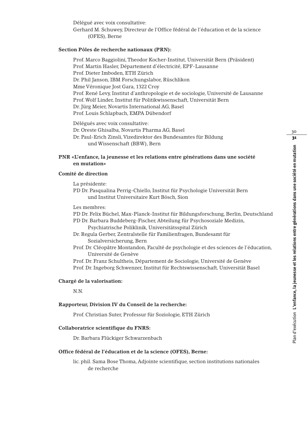Délégué avec voix consultative: Gerhard M. Schuwey, Directeur de l'Office fédéral de l'éducation et de la science (OFES), Berne

### **Section Pôles de recherche nationaux (PRN):**

Prof. Marco Baggiolini,Theodor Kocher-Institut, Universität Bern (Präsident) Prof. Martin Hasler, Département d'électricité, EPF-Lausanne Prof. Dieter Imboden, ETH Zürich Dr. Phil Janson, IBM Forschungslabor, Rüschlikon Mme Véronique Jost Gara, 1322 Croy Prof. René Levy, Institut d'anthropologie et de sociologie, Université de Lausanne Prof.Wolf Linder, Institut für Politikwissenschaft, Universität Bern Dr. Jürg Meier, Novartis International AG, Basel Prof. Louis Schlapbach, EMPA Dübendorf

Délégués avec voix consultative: Dr. Oreste Ghisalba, Novartis Pharma AG, Basel Dr. Paul-Erich Zinsli,Vizedirektor des Bundesamtes für Bildung und Wissenschaft (BBW), Bern

# **PNR «L'enfance, la jeunesse et les relations entre générations dans une société en mutation»**

### **Comité de direction**

La présidente:

- PD Dr. Pasqualina Perrig-Chiello, Institut für Psychologie Universität Bern und Institut Universitaire Kurt Bösch, Sion
- Les membres:
- PD Dr. Felix Büchel, Max-Planck-Institut für Bildungsforschung, Berlin, Deutschland
- PD Dr. Barbara Buddeberg-Fischer, Abteilung für Psychosoziale Medizin, Psychiatrische Poliklinik, Universitätsspital Zürich
- Dr. Regula Gerber, Zentralstelle für Familienfragen, Bundesamt für Sozialversicherung, Bern
- Prof. Dr. Cléopâtre Montandon, Faculté de psychologie et des sciences de l'éducation, Université de Genève
- Prof. Dr. Franz Schultheis, Département de Sociologie, Université de Genève

Prof. Dr. Ingeborg Schwenzer, Institut für Rechtswissenschaft, Universität Basel

### **Chargé de la valorisation:**

N.N.

#### **Rapporteur, Division IV du Conseil de la recherche:**

Prof. Christian Suter, Professur für Soziologie, ETH Zürich

#### **Collaboratrice scientifique du FNRS:**

Dr. Barbara Flückiger Schwarzenbach

#### **Office fédéral de l'éducation et de la science (OFES), Berne:**

lic. phil. Sama Bose Thoma, Adjointe scientifique, section institutions nationales de recherche

30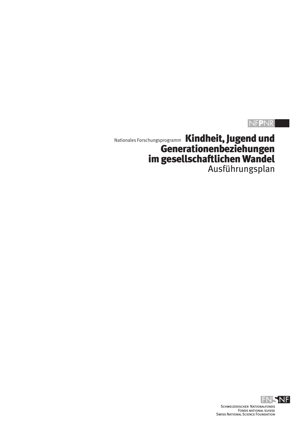# NF**P**NR

Nationales Forschungsprogramm Kindheit, Jugend und Generationenbeziehungen im gesellschaftlichen Wandel Ausführungsplan

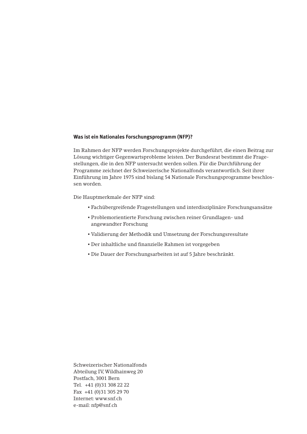### **Was ist ein Nationales Forschungsprogramm (NFP)?**

Im Rahmen der NFP werden Forschungsprojekte durchgeführt, die einen Beitrag zur Lösung wichtiger Gegenwartsprobleme leisten. Der Bundesrat bestimmt die Fragestellungen, die in den NFP untersucht werden sollen. Für die Durchführung der Programme zeichnet der Schweizerische Nationalfonds verantwortlich. Seit ihrer Einführung im Jahre 1975 sind bislang 54 Nationale Forschungsprogramme beschlossen worden.

Die Hauptmerkmale der NFP sind:

- Fachübergreifende Fragestellungen und interdisziplinäre Forschungsansätze
- Problemorientierte Forschung zwischen reiner Grundlagen- und angewandter Forschung
- Validierung der Methodik und Umsetzung der Forschungsresultate
- Der inhaltliche und finanzielle Rahmen ist vorgegeben
- Die Dauer der Forschungsarbeiten ist auf 5 Jahre beschränkt.

Schweizerischer Nationalfonds Abteilung IV,Wildhainweg 20 Postfach, 3001 Bern Tel. +41 (0)31 308 22 22 Fax +41 (0)31 305 29 70 Internet: www.snf.ch e-mail: nfp@snf.ch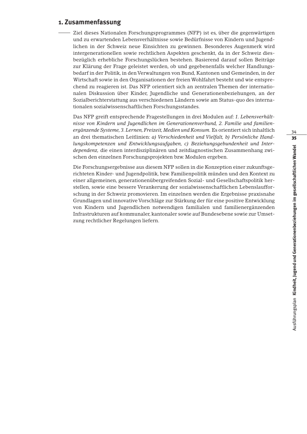# **1. Zusammenfassung**

Ziel dieses Nationalen Forschungsprogrammes (NFP) ist es, über die gegenwärtigen und zu erwartenden Lebensverhältnisse sowie Bedürfnisse von Kindern und Jugendlichen in der Schweiz neue Einsichten zu gewinnen. Besonderes Augenmerk wird intergenerationellen sowie rechtlichen Aspekten geschenkt, da in der Schweiz diesbezüglich erhebliche Forschungslücken bestehen. Basierend darauf sollen Beiträge zur Klärung der Frage geleistet werden, ob und gegebenenfalls welcher Handlungsbedarf in der Politik, in den Verwaltungen von Bund, Kantonen und Gemeinden, in der Wirtschaft sowie in den Organisationen der freien Wohlfahrt besteht und wie entsprechend zu reagieren ist. Das NFP orientiert sich an zentralen Themen der internationalen Diskussion über Kinder, Jugendliche und Generationenbeziehungen, an der Sozialberichterstattung aus verschiedenen Ländern sowie am Status-quo des internationalen sozialwissenschaftlichen Forschungsstandes.

Das NFP greift entsprechende Fragestellungen in drei Modulen auf: *1. Lebensverhältnisse von Kindern und Jugendlichen im Generationenverbund, 2. Familie und familienergänzende Systeme, 3. Lernen, Freizeit, Medien und Konsum.* Es orientiert sich inhaltlich an drei thematischen Leitlinien: *a) Verschiedenheit und Vielfalt, b) Persönliche Handlungskompetenzen und Entwicklungsaufgaben, c) Beziehungsgebundenheit und Interdependenz,* die einen interdisziplinären und zeitdiagnostischen Zusammenhang zwischen den einzelnen Forschungsprojekten bzw. Modulen ergeben.

Die Forschungsergebnisse aus diesem NFP sollen in die Konzeption einer zukunftsgerichteten Kinder- und Jugendpolitik, bzw. Familienpolitik münden und den Kontext zu einer allgemeinen, generationenübergreifenden Sozial- und Gesellschaftspolitik herstellen, sowie eine bessere Verankerung der sozialwissenschaftlichen Lebenslaufforschung in der Schweiz promovieren. Im einzelnen werden die Ergebnisse praxisnahe Grundlagen und innovative Vorschläge zur Stärkung der für eine positive Entwicklung von Kindern und Jugendlichen notwendigen familialen und familienergänzenden Infrastrukturen auf kommunaler, kantonaler sowie auf Bundesebene sowie zur Umsetzung rechtlicher Regelungen liefern.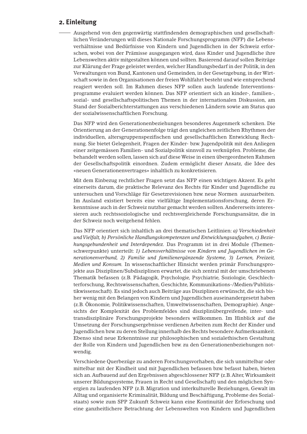# **2. Einleitung**

Ausgehend von den gegenwärtig stattfindenden demographischen und gesellschaftlichen Veränderungen will dieses Nationale Forschungsprogramm (NFP) die Lebensverhältnisse und Bedürfnisse von Kindern und Jugendlichen in der Schweiz erforschen, wobei von der Prämisse ausgegangen wird, dass Kinder und Jugendliche ihre Lebenswelten aktiv mitgestalten können und sollten. Basierend darauf sollen Beiträge zur Klärung der Frage geleistet werden, welcher Handlungsbedarf in der Politik, in den Verwaltungen von Bund, Kantonen und Gemeinden, in der Gesetzgebung, in der Wirtschaft sowie in den Organisationen der freien Wohlfahrt besteht und wie entsprechend reagiert werden soll. Im Rahmen dieses NFP sollen auch laufende Interventionsprogramme evaluiert werden können. Das NFP orientiert sich an kinder-, familien-, sozial- und gesellschaftspolitischen Themen in der internationalen Diskussion, am Stand der Sozialberichterstattungen aus verschiedenen Ländern sowie am Status quo der sozialwissenschaftlichen Forschung.

Das NFP wird den Generationenbeziehungen besonderes Augenmerk schenken. Die Orientierung an der Generationenfolge trägt den ungleichen zeitlichen Rhythmen der individuellen, altersgruppenspezifischen und gesellschaftlichen Entwicklung Rechnung. Sie bietet Gelegenheit, Fragen der Kinder- bzw. Jugendpolitik mit den Anliegen einer zeitgemässen Familien- und Sozialpolitik sinnvoll zu verknüpfen. Probleme, die behandelt werden sollen, lassen sich auf diese Weise in einen übergeordneten Rahmen der Gesellschaftspolitik einordnen. Zudem ermöglicht dieser Ansatz, die Idee des «neuen Generationenvertrages» inhaltlich zu konkretisieren.

Mit dem Einbezug rechtlicher Fragen setzt das NFP einen wichtigen Akzent. Es geht einerseits darum, die praktische Relevanz des Rechts für Kinder und Jugendliche zu untersuchen und Vorschläge für Gesetzrevisionen bzw. neue Normen auszuarbeiten. Im Ausland existiert bereits eine vielfältige Implementationsforschung, deren Erkenntnisse auch in der Schweiz nutzbar gemacht werden sollten.Andererseits interessieren auch rechtssoziologische und rechtsvergleichende Forschungsansätze, die in der Schweiz noch weitgehend fehlen.

Das NFP orientiert sich inhaltlich an drei thematischen Leitlinien: *a) Verschiedenheit und Vielfalt, b) Persönliche Handlungskompetenzen und Entwicklungsaufgaben, c) Beziehungsgebundenheit und Interdependez.* Das Programm ist in drei Module (Themenschwerpunkte) unterteilt: *1) Lebensverhältnisse von Kindern und Jugendlichen im Generationenverbund, 2) Familie und familienergänzende Systeme, 3) Lernen, Freizeit, Medien und Konsum.* In wissenschaftlicher Hinsicht werden primär Forschungsprojekte aus Disziplinen/Subdisziplinen erwartet, die sich zentral mit der umschriebenen Thematik befassen (z.B. Pädagogik, Psychologie, Psychiatrie, Soziologie, Geschlechterforschung, Rechtswissenschaften, Geschichte, Kommunikations-/Medien/Publizistikwissenschaft). Es sind jedoch auch Beiträge aus Disziplinen erwünscht, die sich bisher wenig mit den Belangen von Kindern und Jugendlichen auseinandergesetzt haben (z.B. Ökonomie, Politikwissenschaften, Umweltwissenschaften, Demographie). Angesichts der Komplexität des Problemfeldes sind disziplinübergreifende, inter- und transdisziplinäre Forschungsprojekte besonders willkommen. Im Hinblick auf die Umsetzung der Forschungsergebnisse verdienen Arbeiten zum Recht der Kinder und Jugendlichen bzw. zu deren Stellung innerhalb des Rechts besondere Aufmerksamkeit. Ebenso sind neue Erkenntnisse zur philosophischen und sozialethischen Gestaltung der Rolle von Kindern und Jugendlichen bzw. zu den Generationenbeziehungen notwendig.

Verschiedene Querbezüge zu anderen Forschungsvorhaben, die sich unmittelbar oder mittelbar mit der Kindheit und mit Jugendlichen befassen bzw. befasst haben, bieten sich an.Aufbauend auf den Ergebnissen abgeschlossener NFP (z.B.Alter,Wirksamkeit unserer Bildungssysteme, Frauen in Recht und Gesellschaft) und den möglichen Synergien zu laufenden NFP (z.B. Migration und interkulturelle Beziehungen, Gewalt im Alltag und organisierte Kriminalität, Bildung und Beschäftigung, Probleme des Sozialstaats) sowie zum SPP Zukunft Schweiz kann eine Kontinuität der Erforschung und eine ganzheitlichere Betrachtung der Lebenswelten von Kindern und Jugendlichen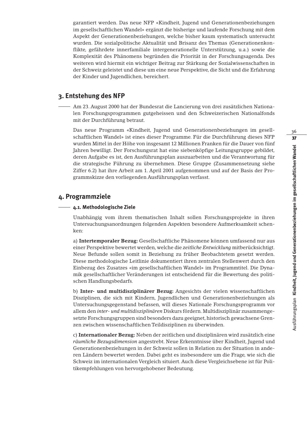garantiert werden. Das neue NFP «Kindheit, Jugend und Generationenbeziehungen im gesellschaftlichen Wandel» ergänzt die bisherige und laufende Forschung mit dem Aspekt der Generationenbeziehungen, welche bisher kaum systematisch untersucht wurden. Die sozialpolitische Aktualität und Brisanz des Themas (Generationenkonflikte, gefährdete innerfamiliale intergenerationelle Unterstützung, u.a.) sowie die Komplexität des Phänomens begründen die Priorität in der Forschungsagenda. Des weiteren wird hiermit ein wichtiger Beitrag zur Stärkung der Sozialwissenschaften in der Schweiz geleistet und diese um eine neue Perspektive, die Sicht und die Erfahrung der Kinder und Jugendlichen, bereichert.

# **3. Entstehung des NFP**

Am 23. August 2000 hat der Bundesrat die Lancierung von drei zusätzlichen Nationalen Forschungsprogrammen gutgeheissen und den Schweizerischen Nationalfonds mit der Durchführung betraut.

Das neue Programm «Kindheit, Jugend und Generationenbeziehungen im gesellschaftlichen Wandel» ist eines dieser Programme. Für die Durchführung dieses NFP wurden Mittel in der Höhe von insgesamt 12 Millionen Franken für die Dauer von fünf Jahren bewilligt. Der Forschungsrat hat eine siebenköpfige Leitungsgruppe gebildet, deren Aufgabe es ist, den Ausführungsplan auszuarbeiten und die Verantwortung für die strategische Führung zu übernehmen. Diese Gruppe (Zusammensetzung siehe Ziffer 6.2) hat ihre Arbeit am 1. April 2001 aufgenommen und auf der Basis der Programmskizze den vorliegenden Ausführungsplan verfasst.

# **4. Programmziele**

# **4.1. Methodologische Ziele**

Unabhängig vom ihrem thematischen Inhalt sollen Forschungsprojekte in ihren Untersuchungsanordnungen folgenden Aspekten besondere Aufmerksamkeit schenken:

a) **Intertemporaler Bezug:** Gesellschaftliche Phänomene können umfassend nur aus einer Perspektive bewertet werden, welche die *zeitliche Entwicklung* mitberücksichtigt. Neue Befunde sollen somit in Beziehung zu früher Beobachtetem gesetzt werden. Diese methodologische Leitlinie dokumentiert ihren zentralen Stellenwert durch den Einbezug des Zusatzes «im gesellschaftlichen Wandel» im Programmtitel. Die Dynamik gesellschaftlicher Veränderungen ist entscheidend für die Bewertung des politischen Handlungsbedarfs.

b) **Inter- und multidisziplinärer Bezug:** Angesichts der vielen wissenschaftlichen Disziplinen, die sich mit Kindern, Jugendlichen und Generationenbeziehungen als Untersuchungsgegenstand befassen, will dieses Nationale Forschungsprogramm vor allem den *inter- und multidisziplinären* Diskurs fördern. Multidisziplinär zusammengesetzte Forschungsgruppen sind besonders dazu geeignet, historisch gewachsene Grenzen zwischen wissenschaftlichen Teildisziplinen zu überwinden.

c) **Internationaler Bezug:** Neben der zeitlichen und disziplinären wird zusätzlich eine *räumliche Bezugsdimension* angestrebt. Neue Erkenntnisse über Kindheit, Jugend und Generationenbeziehungen in der Schweiz sollen in Relation zu der Situation in anderen Ländern bewertet werden. Dabei geht es insbesondere um die Frage, wie sich die Schweiz im internationalen Vergleich situiert. Auch diese Vergleichsebene ist für Politikempfehlungen von hervorgehobener Bedeutung.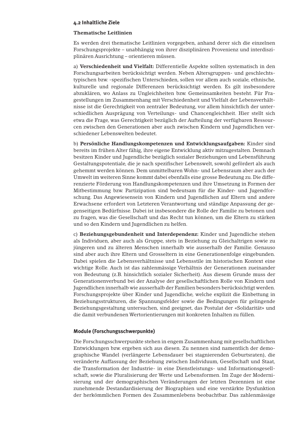#### **4.2 Inhaltliche Ziele**

#### **Thematische Leitlinien**

Es werden drei thematische Leitlinien vorgegeben, anhand derer sich die einzelnen Forschungsprojekte – unabhängig von ihrer disziplinären Provenienz und interdisziplinären Ausrichtung – orientieren müssen.

a) **Verschiedenheit und Vielfalt:** Differentielle Aspekte sollten systematisch in den Forschungsarbeiten berücksichtigt werden. Neben Altersgruppen- und geschlechtstypischen bzw. -spezifischen Unterschieden, sollen vor allem auch soziale, ethnische, kulturelle und regionale Differenzen berücksichtigt werden. Es gilt insbesondere abzuklären, wo Anlass zu Ungleichheiten bzw. Gemeinsamkeiten besteht. Für Fragestellungen im Zusammenhang mit Verschiedenheit und Vielfalt der Lebensverhältnisse ist die Gerechtigkeit von zentraler Bedeutung, vor allem hinsichtlich der unterschiedlichen Ausprägung von Verteilungs- und Chancengleichheit. Hier stellt sich etwa die Frage, was Gerechtigkeit bezüglich der Aufteilung der verfügbaren Ressourcen zwischen den Generationen aber auch zwischen Kindern und Jugendlichen verschiedener Lebenswelten bedeutet.

b) **Persönliche Handlungskompetenzen und Entwicklungsaufgaben:** Kinder sind bereits im frühen Alter fähig, ihre eigene Entwicklung aktiv mitzugestalten. Demnach besitzen Kinder und Jugendliche bezüglich sozialer Beziehungen und Lebensführung Gestaltungspotentiale, die je nach spezifischer Lebenswelt, sowohl gefördert als auch gehemmt werden können. Dem unmittelbaren Wohn- und Lebensraum aber auch der Umwelt im weiteren Sinne kommt dabei ebenfalls eine grosse Bedeutung zu. Die differenzierte Förderung von Handlungskompetenzen und ihre Umsetzung in Formen der Mitbestimmung bzw. Partizipation sind bedeutsam für die Kinder- und Jugendforschung. Das Angewiesensein von Kindern und Jugendlichen auf Eltern und andere Erwachsene erfordert von Letzteren Verantwortung und ständige Anpassung der gegenseitigen Bedürfnisse. Dabei ist insbesondere die Rolle der Familie zu betonen und zu fragen, was die Gesellschaft und das Recht tun können, um die Eltern zu stärken und so den Kindern und Jugendlichen zu helfen.

c) **Beziehungsgebundenheit und Interdependenz:** Kinder und Jugendliche stehen als Individuen, aber auch als Gruppe, stets in Beziehung zu Gleichaltrigen sowie zu jüngeren und zu älteren Menschen innerhalb wie ausserhalb der Familie. Genauso sind aber auch ihre Eltern und Grosseltern in eine Generationenfolge eingebunden. Dabei spielen die Lebensverhältnisse und Lebensstile im historischen Kontext eine wichtige Rolle. Auch ist das zahlenmässige Verhältnis der Generationen zueinander von Bedeutung (z.B. hinsichtlich sozialer Sicherheit). Aus diesem Grunde muss der Generationenverbund bei der Analyse der gesellschaftlichen Rolle von Kindern und Jugendlichen innerhalb wie ausserhalb der Familien besonders berücksichtigt werden. Forschungsprojekte über Kinder und Jugendliche, welche explizit die Einbettung in Beziehungsstrukturen, die Spannungsfelder sowie die Bedingungen für gelingende Beziehungsgestaltung untersuchen, sind geeignet, das Postulat der «Solidarität» und die damit verbundenen Wertorientierungen mit konkreten Inhalten zu füllen.

#### **Module (Forschungsschwerpunkte)**

Die Forschungsschwerpunkte stehen in engem Zusammenhang mit gesellschaftlichen Entwicklungen bzw. ergeben sich aus diesen. Zu nennen sind namentlich der demographische Wandel (verlängerte Lebensdauer bei stagnierenden Geburtsraten), die veränderte Auffassung der Beziehung zwischen Individuum, Gesellschaft und Staat, die Transformation der Industrie- in eine Dienstleistungs- und Informationsgesellschaft, sowie die Pluralisierung der Werte und Lebensformen. Im Zuge der Modernisierung und der demographischen Veränderungen der letzten Dezennien ist eine zunehmende Destandardisierung der Biographien und eine verstärkte Dysfunktion der herkömmlichen Formen des Zusammenlebens beobachtbar. Das zahlenmässige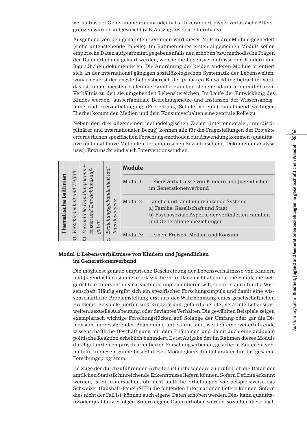Verhältnis der Generationen zueinander hat sich verändert, bisher verlässliche Altersgrenzen wurden aufgeweicht (z.B. Auszug aus dem Elternhaus).

Ausgehend von den genannten Leitlinien wird dieses NFP in drei Module gegliedert (siehe untenstehende Tabelle). Im Rahmen eines ersten allgemeinen Moduls sollen empirische Daten aufgearbeitet, gegebenenfalls neu erhoben bzw. methodische Fragen der Datenerhebung geklärt werden, welche die Lebensverhältnisse von Kindern und Jugendlichen dokumentieren. Die Anordnung der beiden anderen Module orientiert sich an der international gängigen sozialökologischen Systematik der Lebenswelten, wonach zuerst der engste Lebensbereich der primären Entwicklung betrachtet wird; das ist in den meisten Fällen die Familie. Familien stehen sodann in unmittelbarem Verhältnis zu den sie umgebenden Lebensbereichen. Im Laufe der Entwicklung des Kindes werden ausserfamiliale Beziehungsnetze und Instanzen der Wissensaneignung und Freizeitbetätigung (Peer-Group, Schule, Vereine) zunehmend wichtiger. Hierbei kommt den Medien und dem Konsumverhalten eine zentrale Rolle zu.

Neben den drei allgemeinen methodologischen Zielen (intertemporaler, interdisziplinärer und internationaler Bezug) können alle für die Fragestellungen der Projekte erforderlichen spezifischen Forschungsmethoden zur Anwendung kommen (quantitative und qualitative Methoden der empirischen Sozialforschung, Dokumentenanalyse usw.). Erwünscht sind auch Interventionsstudien.

|                                          |                                    |                                                | pun                                      | <b>Module</b> |                                                                                                                                                                   |
|------------------------------------------|------------------------------------|------------------------------------------------|------------------------------------------|---------------|-------------------------------------------------------------------------------------------------------------------------------------------------------------------|
| ien<br>itlini<br>$\omega$<br>Thematische | Vielfalt<br>und<br>Verschiedenheit | Handlungskompe<br>Entwicklungsauf <sup>.</sup> |                                          |               | Modul 1: Lebensverhältnisse von Kindern und Jugendlichen<br>im Generationenverbund                                                                                |
|                                          |                                    | Persönliche<br>und<br>tenzen<br>gaben          | Beziehungsgebundenheit<br>Interdependenz | Modul 2:      | Familie und familienergänzende Systeme<br>a) Familie, Gesellschaft und Staat<br>b) Psychosoziale Aspekte der veränderten Familien-<br>und Generationenbeziehungen |
|                                          |                                    |                                                | $\widehat{\phantom{a}}$                  |               | Modul 3: Lernen. Freizeit. Medien und Konsum                                                                                                                      |

### **Modul 1: Lebensverhältnisse von Kindern und Jugendlichen im Generationenverbund**

Die möglichst genaue empirische Beschreibung der Lebensverhältnisse von Kindern und Jugendlichen ist eine unerlässliche Grundlage nicht allein für die Politik, die zielgerichtete Interventionsmassnahmen implementieren will, sondern auch für die Wissenschaft. Häufig ergibt sich ein spezifischer Forschungsimpuls und damit eine wissenschaftliche Problemstellung erst aus der Wahrnehmung eines gesellschaftlichen Problems. Beispiele hierfür sind Kinderarmut, gefährliche oder verarmte Lebensumwelten, sexuelle Ausbeutung, oder deviantes Verhalten. Die gewählten Beispiele zeigen exemplarisch wichtige Forschungslücken auf. Solange der Umfang oder gar die Dimension interessierender Phänomene unbekannt sind, werden eine weiterführende wissenschaftliche Beschäftigung mit dem Phänomen und damit auch eine adäquate politische Reaktion erheblich behindert. Es ist Aufgabe der im Rahmen dieses Moduls durchgeführten empirisch orientierten Forschungsarbeiten, gesicherte Fakten zu vermitteln. In diesem Sinne besitzt dieses Modul Querschnittcharakter für das gesamte Forschungsprogramm.

Im Zuge der durchzuführenden Arbeiten ist insbesondere zu prüfen, ob die Daten der amtlichen Statistik hinreichende Erkenntnisse liefern können. Sofern Defizite erkannt werden, ist zu untersuchen, ob nicht-amtliche Erhebungen wie beispielsweise das Schweizer Haushalt-Panel (SHP) die fehlenden Informationen liefern können. Sofern dies nicht der Fall ist, können auch eigene Daten erhoben werden. Dies kann quantitativ oder qualitativ erfolgen. Sofern eigene Daten erhoben werden, so sollten diese auch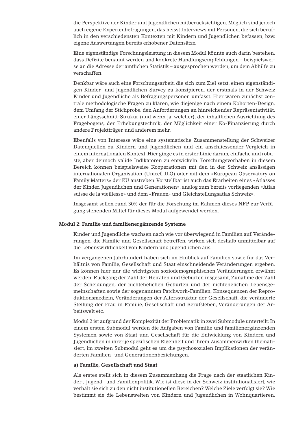die Perspektive der Kinder und Jugendlichen mitberücksichtigen. Möglich sind jedoch auch eigene Expertenbefragungen, das heisst Interviews mit Personen, die sich beruflich in den verschiedensten Kontexten mit Kindern und Jugendlichen befassen, bzw. eigene Auswertungen bereits erhobener Datensätze.

Eine eigenständige Forschungsleistung in diesem Modul könnte auch darin bestehen, dass Defizite benannt werden und konkrete Handlungsempfehlungen – beispielsweise an die Adresse der amtlichen Statistik – ausgesprochen werden, um dem Abhilfe zu verschaffen.

Denkbar wäre auch eine Forschungsarbeit, die sich zum Ziel setzt, einen eigenständigen Kinder- und Jugendlichen-Survey zu konzipieren, der erstmals in der Schweiz Kinder und Jugendliche als Befragungspersonen umfasst. Hier wären zunächst zentrale methodologische Fragen zu klären, wie diejenige nach einem Kohorten-Design, dem Umfang der Stichprobe, den Anforderungen an hinreichender Repräsentativität, einer Längsschnitt-Strukur (und wenn ja: welcher), der inhaltlichen Ausrichtung des Fragebogens, der Erhebungstechnik, der Möglichkeit einer Ko-Finanzierung durch andere Projektträger, und anderem mehr.

Ebenfalls von Interesse wäre eine systematische Zusammenstellung der Schweizer Datenquellen zu Kindern und Jugendlichen und ein anschliessender Vergleich in einem internationalen Kontext. Hier ginge es in erster Linie darum, einfache und robuste, aber dennoch valide Indikatoren zu entwickeln. Forschungsvorhaben in diesem Bereich können beispielsweise Kooperationen mit den in der Schweiz ansässigen internationalen Organisation (Unicef, ILO) oder mit dem «European Observatory on Family Matters» der EU anstreben.Vorstellbar ist auch das Erarbeiten eines «Atlasses der Kinder, Jugendlichen und Generationen», analog zum bereits vorliegenden «Atlas suisse de la vieillesse» und dem «Frauen- und Gleichstellungsatlas Schweiz».

Insgesamt sollen rund 30% der für die Forschung im Rahmen dieses NFP zur Verfügung stehenden Mittel für dieses Modul aufgewendet werden.

#### **Modul 2: Familie und familienergänzende Systeme**

Kinder und Jugendliche wachsen nach wie vor überwiegend in Familien auf.Veränderungen, die Familie und Gesellschaft betreffen, wirken sich deshalb unmittelbar auf die Lebenswirklichkeit von Kindern und Jugendlichen aus.

Im vergangenen Jahrhundert haben sich im Hinblick auf Familien sowie für das Verhältnis von Familie, Gesellschaft und Staat einschneidende Veränderungen ergeben. Es können hier nur die wichtigsten soziodemographischen Veränderungen erwähnt werden: Rückgang der Zahl der Heiraten und Geburten insgesamt, Zunahme der Zahl der Scheidungen, der nichtehelichen Geburten und der nichtehelichen Lebensgemeinschaften sowie der sogenannten Patchwork-Familien, Konsequenzen der Reproduktionsmedizin, Veränderungen der Altersstruktur der Gesellschaft, die veränderte Stellung der Frau in Familie, Gesellschaft und Berufsleben, Veränderungen der Arbeitswelt etc.

Modul 2 ist aufgrund der Komplexität der Problematik in zwei Submodule unterteilt: In einem ersten Submodul werden die Aufgaben von Familie und familienergänzenden Systemen sowie von Staat und Gesellschaft für die Entwicklung von Kindern und Jugendlichen in ihrer je spezifischen Eigenheit und ihrem Zusammenwirken thematisiert, im zweiten Submodul geht es um die psychosozialen Implikationen der veränderten Familien- und Generationenbeziehungen.

#### **a) Familie, Gesellschaft und Staat**

Als erstes stellt sich in diesem Zusammenhang die Frage nach der staatlichen Kinder-, Jugend- und Familienpolitik. Wie ist diese in der Schweiz institutionalisiert, wie verhält sie sich zu den nicht institutionellen Bereichen? Welche Ziele verfolgt sie? Wie bestimmt sie die Lebenswelten von Kindern und Jugendlichen in Wohnquartieren,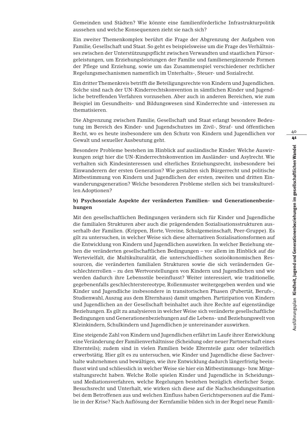Gemeinden und Städten? Wie könnte eine familienförderliche Infrastrukturpolitik aussehen und welche Konsequenzen zieht sie nach sich?

Ein zweiter Themenkomplex berührt die Frage der Abgrenzung der Aufgaben von Familie, Gesellschaft und Staat. So geht es beispielsweise um die Frage des Verhältnisses zwischen der Unterstützungspflicht zwischen Verwandten und staatlichen Fürsorgeleistungen, um Erziehungsleistungen der Familie und familienergänzende Formen der Pflege und Erziehung, sowie um das Zusammenspiel verschiedener rechtlicher Regelungsmechanismen namentlich im Unterhalts-, Steuer- und Sozialrecht.

Ein dritter Themenkreis betrifft die Beteiligungsrechte von Kindern und Jugendlichen. Solche sind nach der UN-Kinderrechtskonvention in sämtlichen Kinder und Jugendliche betreffenden Verfahren vorzusehen. Aber auch in anderen Bereichen, wie zum Beispiel im Gesundheits- und Bildungswesen sind Kinderrechte und -interessen zu thematisieren.

Die Abgrenzung zwischen Familie, Gesellschaft und Staat erlangt besondere Bedeutung im Bereich des Kinder- und Jugendschutzes im Zivil-, Straf- und öffentlichen Recht, wo es heute insbesondere um den Schutz von Kindern und Jugendlichen vor Gewalt und sexueller Ausbeutung geht.

Besondere Probleme bestehen im Hinblick auf ausländische Kinder. Welche Auswirkungen zeigt hier die UN-Kinderrechtskonvention im Ausländer- und Asylrecht. Wie verhalten sich Kindesinteressen und elterliches Erziehungsrecht, insbesondere bei Einwanderern der ersten Generation? Wie gestalten sich Bürgerrecht und politische Mitbestimmung von Kindern und Jugendlichen der ersten, zweiten und dritten Einwanderungsgeneration? Welche besonderen Probleme stellen sich bei transkulturellen Adoptionen?

### **b) Psychosoziale Aspekte der veränderten Familien- und Generationenbeziehungen**

Mit den gesellschaftlichen Bedingungen verändern sich für Kinder und Jugendliche die familialen Strukturen aber auch die prägendenden Sozialisationsstrukturen ausserhalb der Familien. (Krippen, Horte, Vereine, Schulgemeinschaft, Peer-Gruppe). Es gilt zu untersuchen, in welcher Weise sich diese alternativen Sozialisationsformen auf die Entwicklung von Kindern und Jugendlichen auswirken. In welcher Beziehung stehen die veränderten gesellschaftlichen Bedingungen – vor allem im Hinblick auf die Wertevielfalt, die Multikulturalität, die unterschiedlichen sozioökonomischen Ressourcen, die veränderten familialen Strukturen sowie die sich verändernden Geschlechterrollen – zu den Wertvorstellungen von Kindern und Jugendlichen und wie werden dadurch ihre Lebensstile beeinflusst? Weiter interessiert, wie traditionelle, gegebenenfalls geschlechterstereotype, Rollenmuster weitergegeben werden und wie Kinder und Jugendliche insbesondere in transitorischen Phasen (Pubertät, Berufs-, Studienwahl, Auszug aus dem Elternhaus) damit umgehen. Partizipation von Kindern und Jugendlichen an der Gesellschaft beinhaltet auch ihre Rechte auf eigenständige Beziehungen. Es gilt zu analysieren in welcher Weise sich veränderte gesellschaftliche Bedingungen und Generationenbeziehungen auf die Lebens- und Beziehungswelt von Kleinkindern, Schulkindern und Jugendlichen je untereinander auswirken.

Eine steigende Zahl von Kindern und Jugendlichen erfährt im Laufe ihrer Entwicklung eine Veränderung der Familienverhältnisse (Scheidung oder neuer Partnerschaft eines Elternteils); zudem sind in vielen Familien beide Elternteile ganz oder teilzeitlich erwerbstätig. Hier gilt es zu untersuchen, wie Kinder und Jugendliche diese Sachverhalte wahrnehmen und bewältigen, wie ihre Entwicklung dadurch längerfristig beeinflusst wird und schliesslich in welcher Weise sie hier ein Mitbestimmungs- bzw. Mitgestaltungsrecht haben. Welche Rolle spielen Kinder und Jugendliche in Scheidungsund Mediationsverfahren, welche Regelungen bestehen bezüglich elterlicher Sorge, Besuchsrecht und Unterhalt, wie wirken sich diese auf die Nachscheidungssituation bei dem Betroffenen aus und welchen Einfluss haben Gerichtspersonen auf die Familie in der Krise? Nach Auflösung der Kernfamilie bilden sich in der Regel neue Famili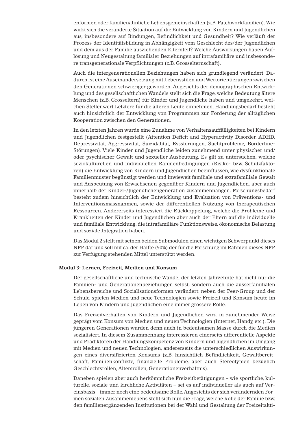enformen oder familienähnliche Lebensgemeinschaften (z.B. Patchworkfamilien).Wie wirkt sich die veränderte Situation auf die Entwicklung von Kindern und Jugendlichen aus, insbesondere auf Bindungen, Befindlichkeit und Gesundheit? Wie verläuft der Prozess der Identitätsbildung in Abhängigkeit vom Geschlecht des/der Jugendlichen und dem aus der Familie ausziehenden Elternteil? Welche Auswirkungen haben Auflösung und Neugestaltung familialer Beziehungen auf intrafamiliäre und insbesondere transgenerationale Verpflichtungen (z.B. Grosselternschaft).

Auch die intergenerationellen Beziehungen haben sich grundlegend verändert. Dadurch ist eine Auseinandersetzung mit Lebensstilen und Wertorientierungen zwischen den Generationen schwieriger geworden. Angesichts der demographischen Entwicklung und des gesellschaftlichen Wandels stellt sich die Frage, welche Bedeutung ältere Menschen (z.B. Grosseltern) für Kinder und Jugendliche haben und umgekehrt, welchen Stellenwert Letztere für die älteren Leute einnehmen. Handlungsbedarf besteht auch hinsichtlich der Entwicklung von Programmen zur Förderung der alltäglichen Kooperation zwischen den Generationen.

In den letzten Jahren wurde eine Zunahme von Verhaltensauffälligkeiten bei Kindern und Jugendlichen festgestellt (Attention Deficit and Hyperactivity Disorder, ADHD, Depressivität, Aggressivität, Suizidalität, Essstörungen, Suchtprobleme, Borderline-Störungen). Viele Kinder und Jugendliche leiden zunehmend unter physischer und/ oder psychischer Gewalt und sexueller Ausbeutung. Es gilt zu untersuchen, welche soziokulturellen und individuellen Rahmenbedingungen (Risiko- bzw. Schutzfaktoren) die Entwicklung von Kindern und Jugendlichen beeinflussen, wie dysfunktionale Familienmuster begünstigt werden und inwieweit familiale und extrafamiliale Gewalt und Ausbeutung von Erwachsenen gegenüber Kindern und Jugendlichen, aber auch innerhalb der Kinder-/Jugendlichengeneration zusammenhängen. Forschungsbedarf besteht zudem hinsichtlich der Entwicklung und Evaluation von Präventions- und Interventionsmassnahmen, sowie der differentiellen Nutzung von therapeutischen Ressourcen. Andererseits interessiert die Rückkoppelung, welche die Probleme und Krankheiten der Kinder und Jugendlichen aber auch der Eltern auf die individuelle und familiale Entwicklung, die intrafamiliäre Funktionsweise, ökonomische Belastung und soziale Integration haben.

Das Modul 2 stellt mit seinen beiden Submodulen einen wichtigen Schwerpunkt dieses NFP dar und soll mit ca. der Hälfte (50%) der für die Forschung im Rahmen dieses NFP zur Verfügung stehenden Mittel unterstützt werden.

#### **Modul 3: Lernen, Freizeit, Medien und Konsum**

Der gesellschaftliche und technische Wandel der letzten Jahrzehnte hat nicht nur die Familien- und Generationenbeziehungen selbst, sondern auch die ausserfamilialen Lebensbereiche und Sozialisationsformen verändert: neben der Peer-Group und der Schule, spielen Medien und neue Technologien sowie Freizeit und Konsum heute im Leben von Kindern und Jugendlichen eine immer grössere Rolle.

Das Freizeitverhalten von Kindern und Jugendlichen wird in zunehmender Weise geprägt vom Konsum von Medien und neuen Technologien (Internet, Handy, etc.). Die jüngeren Generationen wurden denn auch in bedeutsamen Masse durch die Medien sozialisiert. In diesem Zusammenhang interessieren einerseits differentielle Aspekte und Prädiktoren der Handlungskompetenz von Kindern und Jugendlichen im Umgang mit Medien und neuen Technologien, andererseits die unterschiedlichen Auswirkungen eines diversifizierten Konsums (z.B. hinsichtlich Befindlichkeit, Gewaltbereitschaft, Familienkonflikte, finanzielle Probleme, aber auch Stereotypien bezüglich Geschlechtsrollen, Altersrollen, Generationenverhältnis).

Daneben spielen aber auch herkömmliche Freizeitbetätigungen – wie sportliche, kulturelle, soziale und kirchliche Aktivitäten – sei es auf individueller als auch auf Vereinsbasis – immer noch eine bedeutsame Rolle.Angesichts der sich verändernden Formen sozialen Zusammenlebens stellt sich nun die Frage, welche Rolle der Familie bzw. den familienergänzenden Institutionen bei der Wahl und Gestaltung der Freizeitakti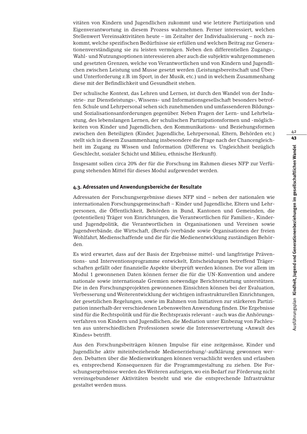vitäten von Kindern und Jugendlichen zukommt und wie letztere Partizipation und Eigenverantwortung in diesem Prozess wahrnehmen. Ferner interessiert, welchen Stellenwert Vereinsaktivitäten heute – im Zeitalter der Individualisierung – noch zukommt, welche spezifischen Bedürfnisse sie erfüllen und welchen Beitrag zur Generationenverständigung sie zu leisten vermögen. Neben den differentiellen Zugangs-, Wahl- und Nutzungsoptionen interessieren aber auch die subjektiv wahrgenommenen und gesetzten Grenzen, welche von Verantwortlichen und von Kindern und Jugendlichen zwischen Leistung und Musse gesetzt werden (Leistungsbereitschaft und Überund Unterforderung z.B. im Sport, in der Musik, etc.) und in welchem Zusammenhang diese mit der Befindlichkeit und Gesundheit stehen.

Der schulische Kontext, das Lehren und Lernen, ist durch den Wandel von der Industrie- zur Dienstleistungs-, Wissens- und Informationsgesellschaft besonders betroffen. Schule und Lehrpersonal sehen sich zunehmenden und umfassenderen Bildungsund Sozialisationsanforderungen gegenüber. Neben Fragen der Lern- und Lehrbelastung, des lebenslangen Lernen, der schulischen Partizipationsformen und -möglichkeiten von Kinder und Jugendlichen, den Kommunikations- und Beziehungsformen zwischen den Beteiligten (Kinder, Jugendliche, Lehrpersonal, Eltern, Behörden etc.) stellt sich in diesem Zusammenhang insbesondere die Frage nach der Chancengleichheit im Zugang zu Wissen und Information (Differenz vs. Ungleichheit bezüglich Geschlecht, sozialer Schicht und Milieu, ethnische Herkunft).

Insgesamt sollen circa 20% der für die Forschung im Rahmen dieses NFP zur Verfügung stehenden Mittel für dieses Modul aufgewendet werden.

#### **4.3. Adressaten und Anwendungsbereiche der Resultate**

Adressaten der Forschungsergebnisse dieses NFP sind – neben der nationalen wie internationalen Forschungsgemeinschaft – Kinder und Jugendliche, Eltern und Lehrpersonen, die Öffentlichkeit, Behörden in Bund, Kantonen und Gemeinden, die (potentiellen) Träger von Einrichtungen, die Verantwortlichen für Familien-, Kinderund Jugendpolitik, die Verantwortlichen in Organisationen und Vereinen sowie Jugendverbände, die Wirtschaft, (Berufs-)verbände sowie Organisationen der freien Wohlfahrt, Medienschaffende und die für die Medienentwicklung zuständigen Behörden.

Es wird erwartet, dass auf der Basis der Ergebnisse mittel- und langfristige Präventions- und Interventionsprogramme entwickelt, Entscheidungen betreffend Trägerschaften gefällt oder finanzielle Aspekte überprüft werden können. Die vor allem im Modul 1 gewonnenen Daten können ferner die für die UN-Konvention und andere nationale sowie internationale Gremien notwendige Berichterstattung unterstützen. Die in den Forschungsprojekten gewonnenen Einsichten können bei der Evaluation, Verbesserung und Weiterentwicklung der wichtigen infrastrukturellen Einrichtungen, der gesetzlichen Regelungen, sowie im Rahmen von Initiativen zur stärkeren Partizipation innerhalb der verschiedenen Lebenswelten Anwendung finden. Die Ergebnisse sind für die Rechtspolitik und für die Rechtspraxis relevant – auch was die Anhörungsverfahren von Kindern und Jugendlichen, die Mediation unter Einbezug von Fachleuten aus unterschiedlichen Professionen sowie die Interessevertretung «Anwalt des Kindes» betrifft.

Aus den Forschungsbeiträgen können Impulse für eine zeitgemässe, Kinder und Jugendliche aktiv miteinbeziehende Medienerziehung/-aufklärung gewonnen werden. Debatten über die Medienwirkungen können versachlicht werden und erlauben es, entsprechend Konsequenzen für die Programmgestaltung zu ziehen. Die Forschungsergebnisse werden des Weiteren aufzeigen, wo ein Bedarf zur Förderung nicht vereinsgebundener Aktivitäten besteht und wie die entsprechende Infrastruktur gestaltet werden muss.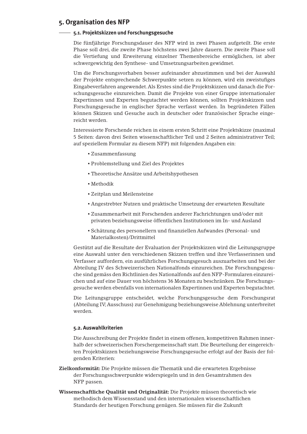# **5. Organisation des NFP**

### **5.1. Projektskizzen und Forschungsgesuche**

Die fünfjährige Forschungsdauer des NFP wird in zwei Phasen aufgeteilt. Die erste Phase soll drei, die zweite Phase höchstens zwei Jahre dauern. Die zweite Phase soll die Vertiefung und Erweiterung einzelner Themenbereiche ermöglichen, ist aber schwergewichtig den Synthese- und Umsetzungsarbeiten gewidmet.

Um die Forschungsvorhaben besser aufeinander abzustimmen und bei der Auswahl der Projekte entsprechende Schwerpunkte setzen zu können, wird ein zweistufiges Eingabeverfahren angewendet.Als Erstes sind die Projektskizzen und danach die Forschungsgesuche einzureichen. Damit die Projekte von einer Gruppe internationaler Expertinnen und Experten begutachtet werden können, sollten Projektskizzen und Forschungsgesuche in englischer Sprache verfasst werden. In begründeten Fällen können Skizzen und Gesuche auch in deutscher oder französischer Sprache eingereicht werden.

Interessierte Forschende reichen in einem ersten Schritt eine Projektskizze (maximal 5 Seiten: davon drei Seiten wissenschaftlicher Teil und 2 Seiten administrativer Teil; auf speziellem Formular zu diesem NFP) mit folgenden Angaben ein:

- Zusammenfassung
- Problemstellung und Ziel des Projektes
- Theoretische Ansätze und Arbeitshypothesen
- Methodik
- Zeitplan und Meilensteine
- Angestrebter Nutzen und praktische Umsetzung der erwarteten Resultate
- Zusammenarbeit mit Forschenden anderer Fachrichtungen und/oder mit privaten beziehungsweise öffentlichen Institutionen im In- und Ausland
- Schätzung des personellern und finanziellen Aufwandes (Personal- und Materialkosten)/Drittmittel

Gestützt auf die Resultate der Evaluation der Projektskizzen wird die Leitungsgruppe eine Auswahl unter den verschiedenen Skizzen treffen und ihre Verfasserinnen und Verfasser auffordern, ein ausführliches Forschungsgesuch auszuarbeiten und bei der Abteilung IV des Schweizerischen Nationalfonds einzureichen. Die Forschungsgesuche sind gemäss den Richtlinien des Nationalfonds auf den NFP-Formularen einzureichen und auf eine Dauer von höchstens 36 Monaten zu beschränken. Die Forschungsgesuche werden ebenfalls von internationalen Expertinnen und Experten begutachtet.

Die Leitungsgruppe entscheidet, welche Forschungsgesuche dem Forschungsrat (Abteilung IV;Ausschuss) zur Genehmigung beziehungsweise Ablehnung unterbreitet werden.

# **5.2. Auswahlkriterien**

Die Ausschreibung der Projekte findet in einem offenen, kompetitiven Rahmen innerhalb der schweizerischen Forschergemeinschaft statt. Die Beurteilung der eingereichten Projektskizzen beziehungsweise Forschungsgesuche erfolgt auf der Basis der folgenden Kriterien:

- **Zielkonformität:** Die Projekte müssen die Thematik und die erwarteten Ergebnisse der Forschungsschwerpunkte widerspiegeln und in den Gesamtrahmen des NFP passen.
- **Wissenschaftliche Qualität und Originalität:** Die Projekte müssen theoretisch wie methodisch dem Wissensstand und den internationalen wissenschaftlichen Standards der heutigen Forschung genügen. Sie müssen für die Zukunft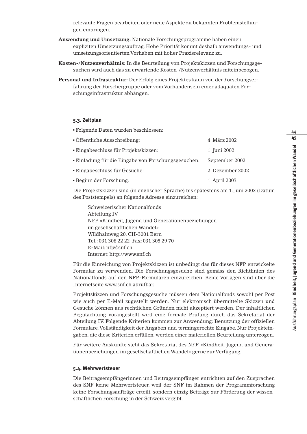relevante Fragen bearbeiten oder neue Aspekte zu bekannten Problemstellungen einbringen.

- **Anwendung und Umsetzung:** Nationale Forschungsprogramme haben einen expliziten Umsetzungsauftrag. Hohe Priorität kommt deshalb anwendungs- und umsetzungsorientierten Vorhaben mit hoher Praxisrelevanz zu.
- **Kosten-/Nutzenverhältnis:** In die Beurteilung von Projektskizzen und Forschungsgesuchen wird auch das zu erwartende Kosten-/Nutzenverhältnis miteinbezogen.
- **Personal und Infrastruktur:** Der Erfolg eines Projektes kann von der Forschungserfahrung der Forschergruppe oder vom Vorhandensein einer adäquaten Forschungsinfrastruktur abhängen.

### **5.3. Zeitplan**

▪ Folgende Daten wurden beschlossen:

| • Öffentliche Ausschreibung:                        | 4. März 2002     |
|-----------------------------------------------------|------------------|
| · Eingabeschluss für Projektskizzen:                | 1. Juni 2002     |
| • Einladung für die Eingabe von Forschungsgesuchen: | September 2002   |
| <b>Eingabeschluss für Gesuche:</b>                  | 2. Dezember 2002 |
| • Beginn der Forschung:                             | 1. April 2003    |

Die Projektskizzen sind (in englischer Sprache) bis spätestens am 1. Juni 2002 (Datum des Poststempels) an folgende Adresse einzureichen:

Schweizerischer Nationalfonds Abteilung IV NFP «Kindheit, Jugend und Generationenbeziehungen im gesellschaftlichen Wandel» Wildhainweg 20, CH-3001 Bern Tel.: 031 308 22 22 Fax: 031 305 29 70 E-Mail: nfp@snf.ch Internet: http://www.snf.ch

Für die Einreichung von Projektskizzen ist unbedingt das für dieses NFP entwickelte Formular zu verwenden. Die Forschungsgesuche sind gemäss den Richtlinien des Nationalfonds auf den NFP-Formularen einzureichen. Beide Vorlagen sind über die Internetseite www.snf.ch abrufbar.

Projektskizzen und Forschungsgesuche müssen dem Nationalfonds sowohl per Post wie auch per E-Mail zugestellt werden. Nur elektronisch übermittelte Skizzen und Gesuche können aus rechtlichen Gründen nicht akzeptiert werden. Der inhaltlichen Begutachtung vorangestellt wird eine formale Prüfung durch das Sekretariat der Abteilung IV. Folgende Kriterien kommen zur Anwendung: Benutzung der offiziellen Formulare,Vollständigkeit der Angaben und termingerechte Eingabe. Nur Projekteingaben, die diese Kriterien erfüllen, werden einer materiellen Beurteilung unterzogen.

Für weitere Auskünfte steht das Sekretariat des NFP «Kindheit, Jugend und Generationenbeziehungen im gesellschaftlichen Wandel» gerne zur Verfügung.

#### **5.4. Mehrwertsteuer**

Die Beitragsempfängerinnen und Beitragsempfänger entrichten auf den Zusprachen des SNF keine Mehrwertsteuer, weil der SNF im Rahmen der Programmforschung keine Forschungsaufträge erteilt, sondern einzig Beiträge zur Förderung der wissenschaftlichen Forschung in der Schweiz vergibt.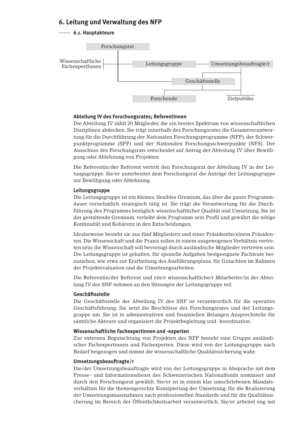# **6. Leitung und Verwaltung des NFP**

# **6.1. Hauptakteure**



# **Abteilung IV des Forschungsrates; ReferentInnen**

Die Abteilung IV zählt 20 Mitglieder, die ein breites Spektrum von wissenschaftlichen Disziplinen abdecken. Sie trägt innerhalb des Forschungsrates die Gesamtverantwortung für die Durchführung der Nationalen Forschungsprogramme (NFP), der Schwerpunktprogramme (SPP) und der Nationalen Forschungsschwerpunkte (NFS). Der Ausschuss des Forschungsrats entscheidet auf Antrag der Abteilung IV über Bewilligung oder Ablehnung von Projekten.

Die Referentin/der Referent vertritt den Forschungsrat der Abteilung IV in der Leitungsgruppe. Sie/er unterbreitet dem Forschungsrat die Anträge der Leitungsgruppe zur Bewilligung oder Ablehnung.

# **Leitungsgruppe**

Die Leitungsgruppe ist ein kleines, flexibles Gremium, das über die ganze Programmdauer vornehmlich strategisch tätig ist. Sie trägt die Verantwortung für die Durchführung des Programms bezüglich wissenschaftlicher Qualität und Umsetzung. Sie ist das gestaltende Gremium, verleiht dem Programm sein Profil und gewährt die nötige Kontinuität und Kohärenz in den Entscheidungen.

Idealerweise besteht sie aus fünf Mitgliedern und einer Präsidentin/einem Präsidenten. Die Wissenschaft und die Praxis sollen in einem ausgewogenen Verhältnis vertreten sein; die Wissenschaft soll bevorzugt durch ausländische Mitglieder vertreten sein. Die Leitungsgruppe ist gehalten, für spezielle Aufgaben bestgeeignete Fachleute beizuziehen, wie etwa zur Erarbeitung des Ausführungsplans, für Gutachten im Rahmen der Projektevaluation und die Umsetzungsarbeiten.

Die Referentin/der Referent und ein/e wissenschaftliche/r Mitarbeiter/in der Abteilung IV des SNF nehmen an den Sitzungen der Leitungsgruppe teil.

# **Geschäftsstelle**

Die Geschäftsstelle der Abteilung IV des SNF ist verantwortlich für die operative Geschäftsführung. Sie setzt die Beschlüsse des Forschungsrates und der Leitungsgruppe um. Sie ist in administrativen und finanziellen Belangen Ansprechstelle für sämtliche Akteure und organisiert die Projektbegleitung und -koordination.

# **Wissenschaftliche Fachexpertinnen und -experten**

Zur externen Begutachtung von Projekten des NFP besteht eine Gruppe ausländischer Fachexpertinnen und Fachexperten. Diese wird von der Leitungsgruppe nach Bedarf beigezogen und nimmt die wissenschaftliche Qualitätssicherung wahr.

# **Umsetzungsbeauftragte/r**

Die/der Umsetzungsbeauftragte wird von der Leitungsgruppe in Absprache mit dem Presse- und Informationsdienst des Schweizerischen Nationalfonds nominiert und durch den Forschungsrat gewählt. Sie/er ist in einem klar umschriebenen Mandatsverhältnis für die themengerechte Konzipierung der Umsetzung, für die Realisierung der Umsetzungsmassnahmen nach professionellen Standards und für die Qualitätssicherung im Bereich der Öffentlichkeitsarbeit verantwortlich. Sie/er arbeitet eng mit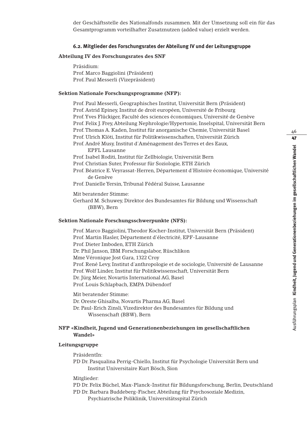der Geschäftsstelle des Nationalfonds zusammen. Mit der Umsetzung soll ein für das Gesamtprogramm vorteilhafter Zusatznutzen (added value) erzielt werden.

#### **6.2. Mitglieder des Forschungsrates der Abteilung IV und der Leitungsgruppe**

#### **Abteilung IV des Forschungsrates des SNF**

Präsidium: Prof. Marco Baggiolini (Präsident) Prof. Paul Messerli (Vizepräsident)

#### **Sektion Nationale Forschungsprogramme (NFP):**

Prof. Paul Messerli, Geographisches Institut, Universität Bern (Präsident) Prof. Astrid Epiney, Institut de droit européen, Université de Fribourg Prof.Yves Flückiger, Faculté des sciences économiques, Université de Genève Prof. Felix J. Frey, Abteilung Nephrologie/Hypertonie, Inselspital, Universität Bern Prof.Thomas A. Kaden, Institut für anorganische Chemie, Universität Basel Prof. Ulrich Klöti, Institut für Politikwissenschaften, Universität Zürich Prof. André Musy, Institut d'Aménagement des Terres et des Eaux, EPFL Lausanne Prof. Isabel Roditi, Institut für Zellbiologie, Universität Bern Prof. Christian Suter, Professur für Soziologie, ETH Zürich Prof. Béatrice E.Veyrassat-Herren, Département d'Histoire économique, Université de Genève Prof. Danielle Yersin,Tribunal Fédéral Suisse, Lausanne Mit beratender Stimme: Gerhard M. Schuwey, Direktor des Bundesamtes für Bildung und Wissenschaft (BBW), Bern

#### **Sektion Nationale Forschungsschwerpunkte (NFS):**

Prof. Marco Baggiolini,Theodor Kocher-Institut, Universität Bern (Präsident) Prof. Martin Hasler, Département d'électricité, EPF-Lausanne Prof. Dieter Imboden, ETH Zürich Dr. Phil Janson, IBM Forschungslabor, Rüschlikon Mme Véronique Jost Gara, 1322 Croy Prof. René Levy, Institut d'anthropologie et de sociologie, Université de Lausanne Prof.Wolf Linder, Institut für Politikwissenschaft, Universität Bern Dr. Jürg Meier, Novartis International AG, Basel Prof. Louis Schlapbach, EMPA Dübendorf

Mit beratender Stimme: Dr. Oreste Ghisalba, Novartis Pharma AG, Basel Dr. Paul-Erich Zinsli,Vizedirektor des Bundesamtes für Bildung und Wissenschaft (BBW), Bern

#### **NFP «Kindheit, Jugend und Generationenbeziehungen im gesellschaftlichen Wandel»**

#### **Leitungsgruppe**

PräsidentIn:

PD Dr. Pasqualina Perrig-Chiello, Institut für Psychologie Universität Bern und Institut Universitaire Kurt Bösch, Sion

Mitglieder:

PD Dr. Felix Büchel, Max-Planck-Institut für Bildungsforschung, Berlin, Deutschland PD Dr. Barbara Buddeberg-Fischer, Abteilung für Psychosoziale Medizin,

Psychiatrische Poliklinik, Universitätsspital Zürich